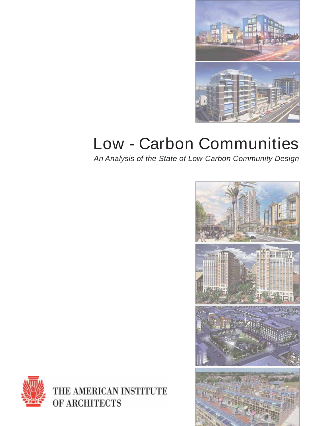

## **Low - Carbon Communities**

*An Analysis of the State of Low-Carbon Community Design*





THE AMERICAN INSTITUTE OF ARCHITECTS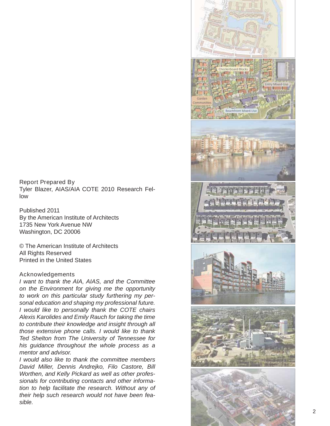## **Report Prepared By**

Tyler Blazer, AIAS/AIA COTE 2010 Research Fellow

Published 2011 By the American Institute of Architects 1735 New York Avenue NW Washington, DC 20006

© The American Institute of Architects All Rights Reserved Printed in the United States

## **Acknowledgements**

*I want to thank the AIA, AIAS, and the Committee on the Environment for giving me the opportunity to work on this particular study furthering my personal education and shaping my professional future. I would like to personally thank the COTE chairs Alexis Karolides and Emily Rauch for taking the time to contribute their knowledge and insight through all those extensive phone calls. I would like to thank Ted Shelton from The University of Tennessee for his guidance throughout the whole process as a mentor and advisor.* 

*I would also like to thank the committee members David Miller, Dennis Andrejko, Filo Castore, Bill Worthen, and Kelly Pickard as well as other professionals for contributing contacts and other information to help facilitate the research. Without any of their help such research would not have been feasible.*

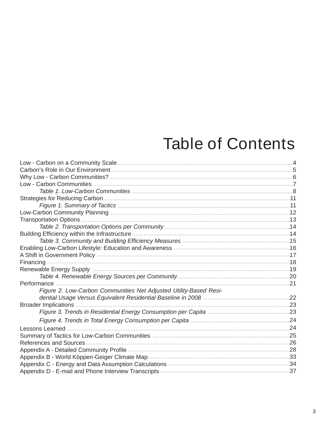## **Table of Contents**

| Table 2. Transportation Options per Community ……………………………………………………………………14                        |     |
|---------------------------------------------------------------------------------------------------|-----|
|                                                                                                   |     |
| Table 3. Community and Building Efficiency Measures <b>Multiples and Contain the Community</b> 15 |     |
|                                                                                                   |     |
|                                                                                                   |     |
|                                                                                                   |     |
|                                                                                                   |     |
|                                                                                                   |     |
|                                                                                                   |     |
| Figure 2. Low-Carbon Communities Net Adjusted Utility-Based Resi-                                 |     |
|                                                                                                   |     |
|                                                                                                   |     |
|                                                                                                   |     |
|                                                                                                   | .24 |
|                                                                                                   |     |
|                                                                                                   |     |
|                                                                                                   |     |
|                                                                                                   |     |
|                                                                                                   |     |
|                                                                                                   |     |
|                                                                                                   |     |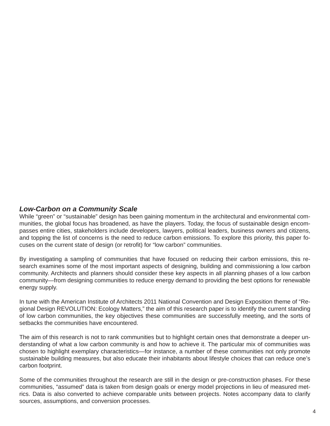## *Low-Carbon on a Community Scale*

While "green" or "sustainable" design has been gaining momentum in the architectural and environmental communities, the global focus has broadened, as have the players. Today, the focus of sustainable design encompasses entire cities, stakeholders include developers, lawyers, political leaders, business owners and citizens, and topping the list of concerns is the need to reduce carbon emissions. To explore this priority, this paper focuses on the current state of design (or retrofit) for "low carbon" communities.

By investigating a sampling of communities that have focused on reducing their carbon emissions, this research examines some of the most important aspects of designing, building and commissioning a low carbon community. Architects and planners should consider these key aspects in all planning phases of a low carbon community—from designing communities to reduce energy demand to providing the best options for renewable energy supply.

In tune with the American Institute of Architects 2011 National Convention and Design Exposition theme of "Regional Design REVOLUTION: Ecology Matters," the aim of this research paper is to identify the current standing of low carbon communities, the key objectives these communities are successfully meeting, and the sorts of setbacks the communities have encountered.

The aim of this research is not to rank communities but to highlight certain ones that demonstrate a deeper understanding of what a low carbon community is and how to achieve it. The particular mix of communities was chosen to highlight exemplary characteristics—for instance, a number of these communities not only promote sustainable building measures, but also educate their inhabitants about lifestyle choices that can reduce one's carbon footprint.

Some of the communities throughout the research are still in the design or pre-construction phases. For these communities, "assumed" data is taken from design goals or energy model projections in lieu of measured metrics. Data is also converted to achieve comparable units between projects. Notes accompany data to clarify sources, assumptions, and conversion processes.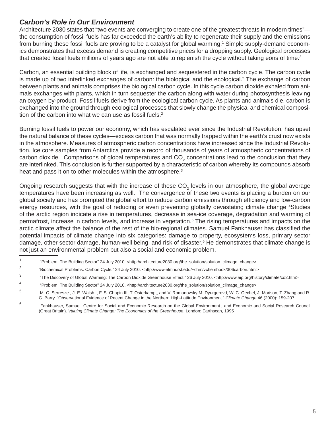## *Carbon's Role in Our Environment*

Architecture 2030 states that "two events are converging to create one of the greatest threats in modern times" the consumption of fossil fuels has far exceeded the earth's ability to regenerate their supply and the emissions from burning these fossil fuels are proving to be a catalyst for global warming.<sup>1</sup> Simple supply-demand economics demonstrates that excess demand is creating competitive prices for a dropping supply. Geological processes that created fossil fuels millions of years ago are not able to replenish the cycle without taking eons of time.<sup>2</sup>

Carbon, an essential building block of life, is exchanged and sequestered in the carbon cycle. The carbon cycle is made up of two interlinked exchanges of carbon: the biological and the ecological.<sup>2</sup> The exchange of carbon between plants and animals comprises the biological carbon cycle. In this cycle carbon dioxide exhaled from animals exchanges with plants, which in turn sequester the carbon along with water during photosynthesis leaving an oxygen by-product. Fossil fuels derive from the ecological carbon cycle. As plants and animals die, carbon is exchanged into the ground through ecological processes that slowly change the physical and chemical composition of the carbon into what we can use as fossil fuels. $2$ 

Burning fossil fuels to power our economy, which has escalated ever since the Industrial Revolution, has upset the natural balance of these cycles—excess carbon that was normally trapped within the earth's crust now exists in the atmosphere. Measures of atmospheric carbon concentrations have increased since the Industrial Revolution. Ice core samples from Antarctica provide a record of thousands of years of atmospheric concentrations of carbon dioxide. Comparisons of global temperatures and CO<sub>2</sub> concentrations lead to the conclusion that they are interlinked. This conclusion is further supported by a characteristic of carbon whereby its compounds absorb heat and pass it on to other molecules within the atmosphere.<sup>3</sup>

Ongoing research suggests that with the increase of these CO<sub>2</sub> levels in our atmosphere, the global average temperatures have been increasing as well. The convergence of these two events is placing a burden on our global society and has prompted the global effort to reduce carbon emissions through efficiency and low-carbon energy resources, with the goal of reducing or even preventing globally devastating climate change 4Studies of the arctic region indicate a rise in temperatures, decrease in sea-ice coverage, degradation and warming of permafrost, increase in carbon levels, and increase in vegetation.<sup>5</sup> The rising temperatures and impacts on the arctic climate affect the balance of the rest of the bio-regional climates. Samuel Fankhauser has classified the potential impacts of climate change into six categories: damage to property, ecosystems loss, primary sector damage, other sector damage, human-well being, and risk of disaster.<sup>6</sup> He demonstrates that climate change is not just an environmental problem but also a social and economic problem.

- 1 "Problem: The Building Sector" 24 July 2010. <http://architecture2030.org/the\_solution/solution\_climage\_change>
- <sup>2</sup> "Biochemical Problems: Carbon Cycle." 24 July 2010. <http://www.elmhurst.edu/~chm/vchembook/306carbon.html>
- 3 "The Discovery of Global Warming: The Carbon Dioxide Greenhouse Effect." 26 July 2010. <http://www.aip.org/history/climate/co2.htm>
- 4 "Problem: The Building Sector" 24 July 2010. <http://architecture2030.org/the\_solution/solution\_climage\_change>

<sup>5</sup> M. C. Serresze , J. E. Walsh , F. S. Chapin III, T. Osterkamp,, and V. Romanovsky M. Dyurgerovd, W. C. Oechel, J. Morison, T. Zhang and R. G. Barry. "Observational Evidence of Recent Change in the Northern High-Latitude Environment." *Climate Change* 46 (2000): 159-207.

<sup>6</sup> Fankhauser, Samuel, Centre for Social and Economic Research on the Global Environment., and Economic and Social Research Council (Great Britain). *Valuing Climate Change: The Economics of the Greenhouse*. London: Earthscan, 1995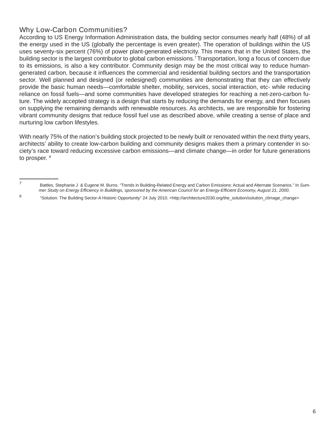## **Why Low-Carbon Communities?**

According to US Energy Information Administration data, the building sector consumes nearly half (48%) of all the energy used in the US (globally the percentage is even greater). The operation of buildings within the US uses seventy-six percent (76%) of power plant-generated electricity. This means that in the United States, the building sector is the largest contributor to global carbon emissions.7 Transportation, long a focus of concern due to its emissions, is also a key contributor. Community design may be the most critical way to reduce humangenerated carbon, because it influences the commercial and residential building sectors and the transportation sector. Well planned and designed (or redesigned) communities are demonstrating that they can effectively provide the basic human needs—comfortable shelter, mobility, services, social interaction, etc- while reducing reliance on fossil fuels—and some communities have developed strategies for reaching a net-zero-carbon future. The widely accepted strategy is a design that starts by reducing the demands for energy, and then focuses on supplying the remaining demands with renewable resources. As architects, we are responsible for fostering vibrant community designs that reduce fossil fuel use as described above, while creating a sense of place and nurturing low carbon lifestyles.

With nearly 75% of the nation's building stock projected to be newly built or renovated within the next thirty years, architects' ability to create low-carbon building and community designs makes them a primary contender in society's race toward reducing excessive carbon emissions—and climate change—in order for future generations to prosper. 8

<sup>7</sup> Battles, Stephanie J & Eugene M. Burns. "Trends in Building-Related Energy and Carbon Emissions: Actual and Alternate Scenarios." In *Summer Study on Energy Effi ciency in Buildings, sponsored by the American Council for an Energy-Effi cient Economy, August 21, 2000*.

<sup>8 &</sup>quot;Solution: The Building Sector-A Historic Opportunity" 24 July 2010. <http://architecture2030.org/the\_solution/solution\_climage\_change>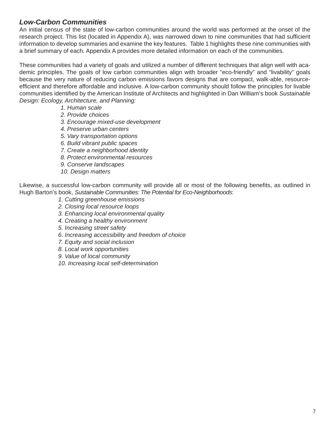## *Low-Carbon Communities*

An initial census of the state of low-carbon communities around the world was performed at the onset of the research project. This list (located in Appendix A), was narrowed down to nine communities that had sufficient information to develop summaries and examine the key features. Table 1 highlights these nine communities with a brief summary of each. Appendix A provides more detailed information on each of the communities.

These communities had a variety of goals and utilized a number of different techniques that align well with academic principles. The goals of low carbon communities align with broader "eco-friendly" and "livability" goals because the very nature of reducing carbon emissions favors designs that are compact, walk-able, resourceefficient and therefore affordable and inclusive. A low-carbon community should follow the principles for livable communities identified by the American Institute of Architects and highlighted in Dan William's book *Sustainable Design: Ecology, Architecture, and Planning:*

- *1. Human scale*
- *2. Provide choices*
- *3. Encourage mixed-use development*
- *4. Preserve urban centers*
- *5. Vary transportation options*
- *6. Build vibrant public spaces*
- *7. Create a neighborhood identity*
- *8. Protect environmental resources*
- *9. Conserve landscapes*
- *10. Design matters*

Likewise, a successful low-carbon community will provide all or most of the following benefits, as outlined in Hugh Barton's book, *Sustainable Communities: The Potential for Eco-Neighborhoods*:

- *1. Cutting greenhouse emissions*
- *2. Closing local resource loops*
- *3. Enhancing local environmental quality*
- *4. Creating a healthy environment*
- *5. Increasing street safety*
- *6. Increasing accessibility and freedom of choice*
- *7. Equity and social inclusion*
- *8. Local work opportunities*
- *9. Value of local community*
- *10. Increasing local self-determination*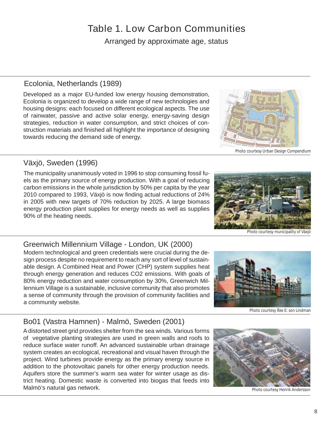## **Table 1. Low Carbon Communities**

Arranged by approximate age, status

## Ecolonia, Netherlands (1989)

Developed as a major EU-funded low energy housing demonstration, Ecolonia is organized to develop a wide range of new technologies and housing designs: each focused on different ecological aspects. The use of rainwater, passive and active solar energy, energy-saving design strategies, reduction in water consumption, and strict choices of construction materials and finished all highlight the importance of designing towards reducing the demand side of energy.

## Växjö, Sweden (1996)

The municipality unanimously voted in 1996 to stop consuming fossil fuels as the primary source of energy production. With a goal of reducing carbon emissions in the whole jurisdiction by 50% per capita by the year 2010 compared to 1993, Växjö is now finding actual reductions of 24% in 2005 with new targets of 70% reduction by 2025. A large biomass energy production plant supplies for energy needs as well as supplies 90% of the heating needs.

## Greenwich Millennium Village - London, UK (2000)

Modern technological and green credentials were crucial during the design process despite no requirement to reach any sort of level of sustainable design. A Combined Heat and Power (CHP) system supplies heat through energy generation and reduces CO2 emissions. With goals of 80% energy reduction and water consumption by 30%, Greenwich Millennium Village is a sustainable, inclusive community that also promotes a sense of community through the provision of community facilities and a community website.

## Bo01 (Vastra Hamnen) - Malmö, Sweden (2001)

A distorted street grid provides shelter from the sea winds. Various forms of vegetative planting strategies are used in green walls and roofs to reduce surface water runoff. An advanced sustainable urban drainage system creates an ecological, recreational and visual haven through the project. Wind turbines provide energy as the primary energy source in addition to the photovoltaic panels for other energy production needs. Aquifers store the summer's warm sea water for winter usage as district heating. Domestic waste is converted into biogas that feeds into Malmö's natural gas network.



Photo courtesy municipality of Växjö

Photo courtesy Åke E: son Lindman

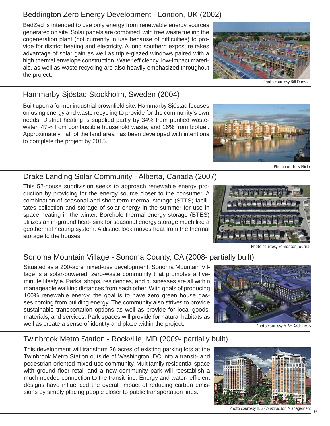## Beddington Zero Energy Development - London, UK (2002)

BedZed is intended to use only energy from renewable energy sources generated on site. Solar panels are combined with tree waste fueling the cogeneration plant (not currently in use because of difficulties) to provide for district heating and electricity. A long southern exposure takes advantage of solar gain as well as triple-glazed windows paired with a high thermal envelope construction. Water efficiency, low-impact materials, as well as waste recycling are also heavily emphasized throughout the project.

## Hammarby Sjöstad Stockholm, Sweden (2004)

Built upon a former industrial brownfield site, Hammarby Sjöstad focuses on using energy and waste recycling to provide for the community's own needs. District heating is supplied partly by 34% from purified wastewater, 47% from combustible household waste, and 16% from biofuel. Approximately half of the land area has been developed with intentions to complete the project by 2015.

## Drake Landing Solar Community - Alberta, Canada (2007)

This 52-house subdivision seeks to approach renewable energy production by providing for the energy source closer to the consumer. A combination of seasonal and short-term thermal storage (STTS) facilitates collection and storage of solar energy in the summer for use in space heating in the winter. Borehole thermal energy storage (BTES) utilizes an in-ground heat- sink for seasonal energy storage much like a geothermal heating system. A district look moves heat from the thermal storage to the houses.

## Sonoma Mountain Village - Sonoma County, CA (2008- partially built)

Situated as a 200-acre mixed-use development, Sonoma Mountain Village is a solar-powered, zero-waste community that promotes a fiveminute lifestyle. Parks, shops, residences, and businesses are all within manageable walking distances from each other. With goals of producing 100% renewable energy, the goal is to have zero green house gasses coming from building energy. The community also strives to provide sustainable transportation options as well as provide for local goods, materials, and services. Park spaces will provide for natural habitats as well as create a sense of identity and place within the project.

## Twinbrook Metro Station - Rockville, MD (2009- partially built)

This development will transform 26 acres of existing parking lots at the Twinbrook Metro Station outside of Washington, DC into a transit- and pedestrian-oriented mixed-use community. Multifamily residential space with ground floor retail and a new community park will reestablish a much needed connection to the transit line. Energy and water- efficient designs have influenced the overall impact of reducing carbon emissions by simply placing people closer to public transportation lines.









Photo courtesy Edmonton Journal

Photo courtesy MBH Architec

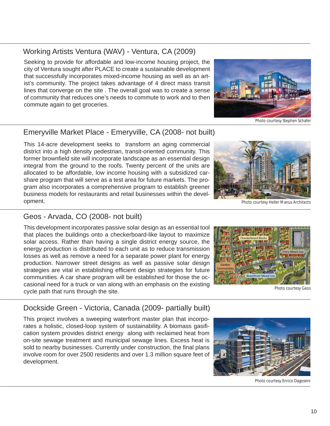## Working Artists Ventura (WAV) - Ventura, CA (2009)

Seeking to provide for affordable and low-income housing project, the city of Ventura sought after PLACE to create a sustainable development that successfully incorporates mixed-income housing as well as an artist's community. The project takes advantage of 4 direct mass transit lines that converge on the site . The overall goal was to create a sense of community that reduces one's needs to commute to work and to then commute again to get groceries.



Photo courtesy Stephen Schafer

## Emeryville Market Place - Emeryville, CA (2008- not built)

This 14-acre development seeks to transform an aging commercial district into a high density pedestrian, transit-oriented community. This former brownfield site will incorporate landscape as an essential design integral from the ground to the roofs. Twenty percent of the units are allocated to be affordable, low income housing with a subsidized carshare program that will serve as a test area for future markets. The program also incorporates a comprehensive program to establish greener business models for restaurants and retail businesses within the development.



Photo courtesy Heller Manus Architects

## Geos - Arvada, CO (2008- not built)

This development incorporates passive solar design as an essential tool that places the buildings onto a checkerboard-like layout to maximize solar access. Rather than having a single district energy source, the energy production is distributed to each unit as to reduce transmission losses as well as remove a need for a separate power plant for energy production. Narrower street designs as well as passive solar design strategies are vital in establishing efficient design strategies for future communities. A car share program will be established for those the occasional need for a truck or van along with an emphasis on the existing cycle path that runs through the site.



Photo courtesy Geos

## Dockside Green - Victoria, Canada (2009- partially built)

This project involves a sweeping waterfront master plan that incorporates a holistic, closed-loop system of sustainability. A biomass gasification system provides district energy along with reclaimed heat from on-site sewage treatment and municipal sewage lines. Excess heat is sold to nearby businesses. Currently under construction, the final plans involve room for over 2500 residents and over 1.3 million square feet of development.



Photo courtesy Enrico Dagostini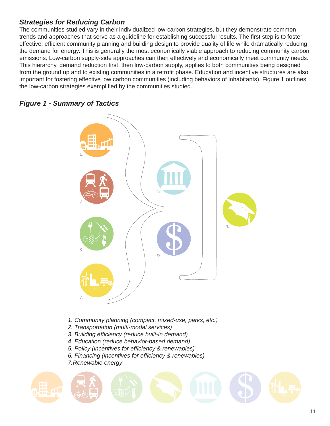## *Strategies for Reducing Carbon*

The communities studied vary in their individualized low-carbon strategies, but they demonstrate common trends and approaches that serve as a quideline for establishing successful results. The first step is to foster effective, efficient community planning and building design to provide quality of life while dramatically reducing the demand for energy. This is generally the most economically viable approach to reducing community carbon emissions. Low-carbon supply-side approaches can then effectively and economically meet community needs. This hierarchy, demand reduction first, then low-carbon supply, applies to both communities being designed from the ground up and to existing communities in a retrofit phase. Education and incentive structures are also important for fostering effective low carbon communities (including behaviors of inhabitants). Figure 1 outlines the low-carbon strategies exemplified by the communities studied.

## *Figure 1 - Summary of Tactics*



- *1. Community planning (compact, mixed-use, parks, etc.)*
- *2. Transportation (multi-modal services)*
- *3. Building effi ciency (reduce built-in demand)*
- *4. Education (reduce behavior-based demand)*
- *5. Policy (incentives for effi ciency & renewables)*
- *6. Financing (incentives for effi ciency & renewables)*
- *7.Renewable energy*

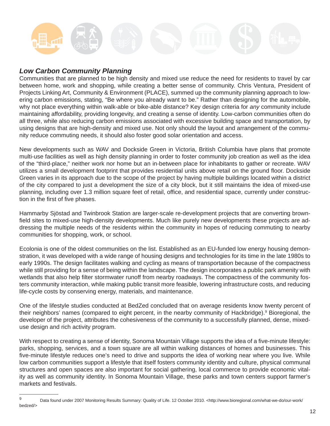## *Low Carbon Community Planning*

Communities that are planned to be high density and mixed use reduce the need for residents to travel by car between home, work and shopping, while creating a better sense of community. Chris Ventura, President of Projects Linking Art, Community & Environment (PLACE), summed up the community planning approach to lowering carbon emissions, stating, "Be where you already want to be." Rather than designing for the automobile, why not place everything within walk-able or bike-able distance? Key design criteria for *any* community include maintaining affordability, providing longevity, and creating a sense of identity. Low-carbon communities often do all three, while also reducing carbon emissions associated with excessive building space and transportation, by using designs that are high-density and mixed use. Not only should the layout and arrangement of the community reduce commuting needs, it should also foster good solar orientation and access.

New developments such as WAV and Dockside Green in Victoria, British Columbia have plans that promote multi-use facilities as well as high density planning in order to foster community job creation as well as the idea of the "third-place," neither work nor home but an in-between place for inhabitants to gather or recreate. WAV utilizes a small development footprint that provides residential units above retail on the ground floor. Dockside Green varies in its approach due to the scope of the project by having multiple buildings located within a district of the city compared to just a development the size of a city block, but it still maintains the idea of mixed-use planning, including over 1.3 million square feet of retail, office, and residential space, currently under construction in the first of five phases.

Hammarby Sjöstad and Twinbrook Station are larger-scale re-development projects that are converting brownfield sites to mixed-use high-density developments. Much like purely new developments these projects are addressing the multiple needs of the residents within the community in hopes of reducing commuting to nearby communities for shopping, work, or school.

Ecolonia is one of the oldest communities on the list. Established as an EU-funded low energy housing demonstration, it was developed with a wide range of housing designs and technologies for its time in the late 1980s to early 1990s. The design facilitates walking and cycling as means of transportation because of the compactness while still providing for a sense of being within the landscape. The design incorporates a public park amenity with wetlands that also help filter stormwater runoff from nearby roadways. The compactness of the community fosters community interaction, while making public transit more feasible, lowering infrastructure costs, and reducing life-cycle costs by conserving energy, materials, and maintenance.

One of the lifestyle studies conducted at BedZed concluded that on average residents know twenty percent of their neighbors' names (compared to eight percent, in the nearby community of Hackbridge).<sup>9</sup> Bioregional, the developer of the project, attributes the cohesiveness of the community to a successfully planned, dense, mixeduse design and rich activity program.

With respect to creating a sense of identity, Sonoma Mountain Village supports the idea of a five-minute lifestyle: parks, shopping, services, and a town square are all within walking distances of homes and businesses. This five-minute lifestyle reduces one's need to drive and supports the idea of working near where you live. While low carbon communities support a lifestyle that itself fosters community identity and culture, physical communal structures and open spaces are also important for social gathering, local commerce to provide economic vitality as well as community identity. In Sonoma Mountain Village, these parks and town centers support farmer's markets and festivals.

<sup>9</sup> Data found under 2007 Monitoring Results Summary: Quality of Life. 12 October 2010. <http://www.bioregional.com/what-we-do/our-work/ bedzed/>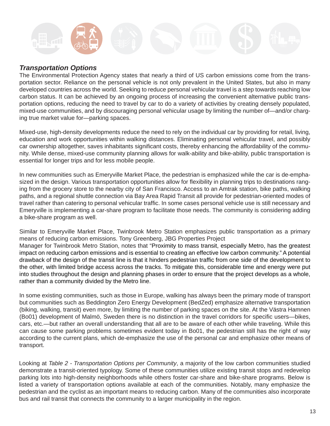

## *Transportation Options*

The Environmental Protection Agency states that nearly a third of US carbon emissions come from the transportation sector. Reliance on the personal vehicle is not only prevalent in the United States, but also in many developed countries across the world. Seeking to reduce personal vehicular travel is a step towards reaching low carbon status. It can be achieved by an ongoing process of increasing the convenient alternative public transportation options, reducing the need to travel by car to do a variety of activities by creating densely populated, mixed-use communities, and by discouraging personal vehicular usage by limiting the number of—and/or charging true market value for—parking spaces.

Mixed-use, high-density developments reduce the need to rely on the individual car by providing for retail, living, education and work opportunities within walking distances. Eliminating personal vehicular travel, and possibly car ownership altogether, saves inhabitants significant costs, thereby enhancing the affordability of the community. While dense, mixed-use community planning allows for walk-ability and bike-ability, public transportation is essential for longer trips and for less mobile people.

In new communities such as Emeryville Market Place, the pedestrian is emphasized while the car is de-emphasized in the design. Various transportation opportunities allow for flexibility in planning trips to destinations ranging from the grocery store to the nearby city of San Francisco. Access to an Amtrak station, bike paths, walking paths, and a regional shuttle connection via Bay Area Rapid Transit all provide for pedestrian-oriented modes of travel rather than catering to personal vehicular traffic. In some cases personal vehicle use is still necessary and Emeryville is implementing a car-share program to facilitate those needs. The community is considering adding a bike-share program as well.

Similar to Emeryville Market Place, Twinbrook Metro Station emphasizes public transportation as a primary means of reducing carbon emissions. Tony Greenberg, JBG Properties Project

Manager for Twinbrook Metro Station, notes that "Proximity to mass transit, especially Metro, has the greatest impact on reducing carbon emissions and is essential to creating an effective low carbon community." A potential drawback of the design of the transit line is that it hinders pedestrian traffic from one side of the development to the other, with limited bridge access across the tracks. To mitigate this, considerable time and energy were put into studies throughout the design and planning phases in order to ensure that the project develops as a whole, rather than a community divided by the Metro line.

In some existing communities, such as those in Europe, walking has always been the primary mode of transport but communities such as Beddington Zero Energy Development (BedZed) emphasize alternative transportation (biking, walking, transit) even more, by limiting the number of parking spaces on the site. At the Västra Hamnen (Bo01) development of Malmö, Sweden there is no distinction in the travel corridors for specific users—bikes, cars, etc.—but rather an overall understanding that all are to be aware of each other while traveling. While this can cause some parking problems sometimes evident today in Bo01, the pedestrian still has the right of way according to the current plans, which de-emphasize the use of the personal car and emphasize other means of transport.

Looking at *Table 2 - Transportation Options per Community*, a majority of the low carbon communities studied demonstrate a transit-oriented typology. Some of these communities utilize existing transit stops and redevelop parking lots into high-density neighborhoods while others foster car-share and bike-share programs. Below is listed a variety of transportation options available at each of the communities. Notably, many emphasize the pedestrian and the cyclist as an important means to reducing carbon. Many of the communities also incorporate bus and rail transit that connects the community to a larger municipality in the region.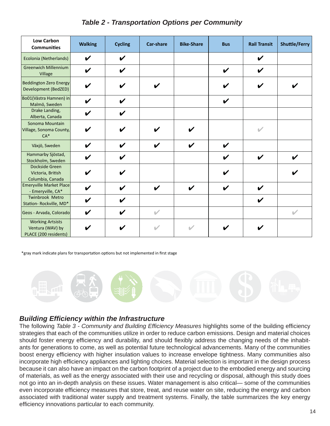|  | <b>Table 2 - Transportation Options per Community</b> |  |  |  |
|--|-------------------------------------------------------|--|--|--|
|--|-------------------------------------------------------|--|--|--|

| <b>Low Carbon</b><br><b>Communities</b>                              | <b>Walking</b>             | <b>Cycling</b>             | <b>Car-share</b>   | <b>Bike-Share</b> | <b>Bus</b>                 | <b>Rail Transit</b> | <b>Shuttle/Ferry</b> |
|----------------------------------------------------------------------|----------------------------|----------------------------|--------------------|-------------------|----------------------------|---------------------|----------------------|
| Ecolonia (Netherlands)                                               | V                          | V                          |                    |                   |                            | V                   |                      |
| <b>Greenwich Millennium</b><br>Village                               | V                          | V                          |                    |                   | $\boldsymbol{\mathcal{U}}$ | V                   |                      |
| <b>Beddington Zero Energy</b><br>Development (BedZED)                | ✔                          | V                          | ✔                  |                   | V                          | ✔                   |                      |
| Bo01(Västra Hamnen) in<br>Malmö, Sweden                              | V                          | $\checkmark$               |                    |                   | $\boldsymbol{\mathcal{U}}$ |                     |                      |
| Drake Landing,<br>Alberta, Canada                                    | V                          | V                          |                    |                   |                            |                     |                      |
| Sonoma Mountain<br>Village, Sonoma County,<br>$CA*$                  | V                          | V                          | V                  | ✔                 |                            | u                   |                      |
| Växjö, Sweden                                                        | $\boldsymbol{\nu}$         | $\boldsymbol{\nu}$         | $\boldsymbol{\nu}$ | V                 | $\boldsymbol{\mathcal{U}}$ |                     |                      |
| Hammarby Sjöstad,<br>Stockholm, Sweden                               | V                          | V                          |                    |                   | ✔                          | ✔                   | ✔                    |
| Dockside Green<br>Victoria, British<br>Columbia, Canada              | ✔                          | V                          |                    |                   | V                          |                     |                      |
| <b>Emeryville Market Place</b><br>- Emeryville, CA*                  | $\checkmark$               | $\boldsymbol{\mathcal{U}}$ | $\boldsymbol{\nu}$ | V                 | $\boldsymbol{\mathcal{U}}$ | V                   |                      |
| <b>Twinbrook Metro</b><br>Station-Rockville, MD*                     | V                          | V                          |                    |                   |                            | V                   |                      |
| Geos - Arvada, Colorado                                              | $\boldsymbol{\mathcal{U}}$ | $\boldsymbol{\nu}$         | $\mathcal{L}$      |                   |                            |                     | V                    |
| <b>Working Artsists</b><br>Ventura (WAV) by<br>PLACE (200 residents) |                            |                            | $\mathcal{L}$      |                   |                            |                     |                      |

\*gray mark indicate plans for transportation options but not implemented in first stage



## *Building Effi ciency within the Infrastructure*

The following *Table 3 - Community and Building Efficiency Measures* highlights some of the building efficiency strategies that each of the communities utilize in order to reduce carbon emissions. Design and material choices should foster energy efficiency and durability, and should flexibly address the changing needs of the inhabitants for generations to come, as well as potential future technological advancements. Many of the communities boost energy efficiency with higher insulation values to increase envelope tightness. Many communities also incorporate high efficiency appliances and lighting choices. Material selection is important in the design process because it can also have an impact on the carbon footprint of a project due to the embodied energy and sourcing of materials, as well as the energy associated with their use and recycling or disposal, although this study does not go into an in-depth analysis on these issues. Water management is also critical— some of the communities even incorporate efficiency measures that store, treat, and reuse water on site, reducing the energy and carbon associated with traditional water supply and treatment systems. Finally, the table summarizes the key energy efficiency innovations particular to each community.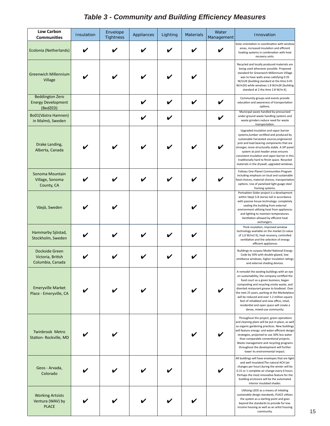| <b>Low Carbon</b><br><b>Communities</b>                         | Insulation | Envelope<br><b>Tightness</b> | Appliances | Lighting | <b>Materials</b> | Water<br>Management | Innovation                                                                                                                                                                                                                                                                                                                                                                                                                                                  |
|-----------------------------------------------------------------|------------|------------------------------|------------|----------|------------------|---------------------|-------------------------------------------------------------------------------------------------------------------------------------------------------------------------------------------------------------------------------------------------------------------------------------------------------------------------------------------------------------------------------------------------------------------------------------------------------------|
| Ecolonia (Netherlands)                                          |            |                              |            |          |                  |                     | Solar orientation in coordination with windov<br>areas, increased insulation and efficient<br>heating systems in combination with heat<br>recovery units.                                                                                                                                                                                                                                                                                                   |
| <b>Greenwich Millennium</b><br>Village                          |            |                              |            |          |                  |                     | Recycled and locally produced materials are<br>being used whenever possible. Proposed<br>standard for Greenwich Millennium Village<br>was to have walls areas satisfying 0.35<br>W/m2K (building standard at the time 0.45<br>W/m2K) while windows 1.8 W/m2K (building<br>standard at 2 the time 2.8 W/m K).                                                                                                                                                |
| <b>Beddington Zero</b><br><b>Energy Development</b><br>(BedZED) |            |                              |            |          |                  |                     | Community groups and events provide<br>education and awareness of transportation<br>options.                                                                                                                                                                                                                                                                                                                                                                |
| Bo01(Västra Hamnen)<br>in Malmö, Sweden                         |            |                              |            |          |                  |                     | Municipal waste handled by pressurized<br>under-ground waste handling systems and<br>waste grinders reduce need for waste<br>transportation.                                                                                                                                                                                                                                                                                                                |
| Drake Landing,<br>Alberta, Canada                               |            |                              |            |          |                  |                     | Upgraded insulation and vapor barrier<br>systems, lumber certified and produced by<br>sustainable harvested sources, engineered<br>joist and load bearing components that are<br>stronger, more structurally stable. A SIP pane<br>system at joist header areas ensures<br>consistent insulation and vapor barrier in thi:<br>traditionally hard to finish space. Recycled<br>materials in the drywall, upgraded windows.                                   |
| Sonoma Mountain<br>Village, Sonoma<br>County, CA                |            |                              |            |          |                  |                     | Follows One-Planet Communities Program<br>including emphasis on local and sustainable<br>food choices, material choices, transportatio<br>options. Use of panelized light guage steel<br>framing systems.                                                                                                                                                                                                                                                   |
| Växjö, Sweden                                                   |            |                              |            |          |                  |                     | Portvakten Söder project is a development<br>within Växjö 5-8 stories tall in accordance<br>with passive house technology: completely<br>sealing the building from external<br>environment utilizing heat from appliances<br>and lighting to maintain temperatures.<br>Ventilation allowed by efficient heat<br>exchangers.                                                                                                                                 |
| Hammarby Sjöstad,<br>Stockholm, Sweden                          |            |                              |            |          |                  |                     | Thick insulation, improved window<br>technology available on the market (U-value<br>of 1,0 W/m2 K), heat recovery, controlled<br>ventilation and the selection of energy<br>efficient appliances                                                                                                                                                                                                                                                            |
| Dockside Green<br>Victoria, British<br>Columbia, Canada         |            |                              |            |          |                  |                     | <b>Buildings to surpass Model National Energy</b><br>Code by 50% with double-glazed, low-<br>emittance windows, higher insulation ratings<br>and external shading devices.                                                                                                                                                                                                                                                                                  |
| <b>Emeryville Market</b><br>Place - Emeryville, CA              |            |                              |            |          |                  |                     | A remodel the existing buildings with an eye<br>on sustainability; the company certified the<br>food court as a green business, began<br>composting and recycling onsite waste, and<br>diverted restaurant grease to biodiesel. Over<br>the next 25 years, parking at the Marketplace<br>will be reduced and over 1.2 million square<br>feet of rehabbed and new office, retail,<br>residential and open space will create a<br>dense, mixed-use community. |
| <b>Twinbrook Metro</b><br>Station- Rockville, MD                |            |                              |            |          |                  |                     | Throughout the project, green operations<br>and cleaning plans will be put in place, as we<br>as organic gardening practices. New building<br>will feature energy- and water-efficient desig<br>strategies, projected to use 30% less water<br>than comparable conventional projects.<br>Waste management and recycling programs<br>throughout the development will further<br>lower its environmental impact.                                              |
| Geos - Arvada,<br>Colorado                                      |            |                              |            |          |                  |                     | All buildings will have envelopes that are tigh<br>and well-insulated. The natural ACH (air<br>changes per hour) during the winter will be<br>0.15 or 1 complete air change every 6 hours.<br>Perhaps the most innovative feature for the<br>building enclosure will be the automated<br>interior insulated shades.                                                                                                                                         |
| <b>Working Artsists</b><br>Ventura (WAV) by<br><b>PLACE</b>     |            |                              |            |          |                  |                     | Utilizing LEED as a means of intiating<br>sustainable design standards, PLACE utilizes<br>the system as a starting point and goes<br>beyond the standards to provide for low-<br>income housing as well as an artist housing                                                                                                                                                                                                                                |

## Table 3 - Community and Building Efficiency Measures

community.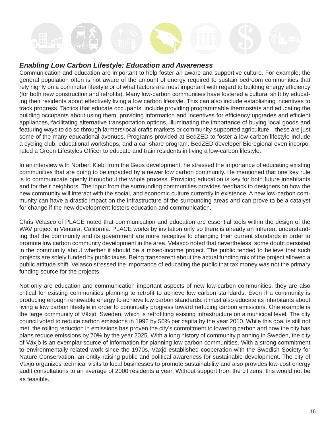## *Enabling Low Carbon Lifestyle: Education and Awareness*

Communication and education are important to help foster an aware and supportive culture. For example, the general population often is not aware of the amount of energy required to sustain bedroom communities that rely highly on a commuter lifestyle or of what factors are most important with regard to building energy efficiency (for both new construction and retrofits). Many low-carbon communities have fostered a cultural shift by educating their residents about effectively living a low carbon lifestyle. This can also include establishing incentives to track progress. Tactics that educate occupants include providing programmable thermostats and educating the building occupants about using them, providing information and incentives for efficiency upgrades and efficient appliances, facilitating alternative transportation options, illuminating the importance of buying local goods and featuring ways to do so through farmers/local crafts markets or community-supported agriculture—these are just some of the many educational avenues. Programs provided at BedZED to foster a low-carbon lifestyle include a cycling club, educational workshops, and a car share program. BedZED developer Bioregional even incorporated a Green Lifestyles Officer to educate and train residents in living a low-carbon lifestyle.

In an interview with Norbert Klebl from the Geos development, he stressed the importance of educating existing communities that are going to be impacted by a newer low carbon community. He mentioned that one key rule is to communicate openly throughout the whole process. Providing education is key for both future inhabitants and for their neighbors. The input from the surrounding communities provides feedback to designers on how the new community will interact with the social, and economic culture currently in existence. A new low-carbon community can have a drastic impact on the infrastructure of the surrounding areas and can prove to be a catalyst for change if the new development fosters education and communication.

Chris Velasco of PLACE noted that communication and education are essential tools within the design of the WAV project in Ventura, California. PLACE works by invitation only so there is already an inherent understanding that the community and its government are more receptive to changing their current standards in order to promote low carbon community development in the area. Velasco noted that nevertheless, some doubt persisted in the community about whether it should be a mixed-income project. The public tended to believe that such projects are solely funded by public taxes. Being transparent about the actual funding mix of the project allowed a public attitude shift. Velasco stressed the importance of educating the public that tax money was not the primary funding source for the projects.

Not only are education and communication important aspects of new low-carbon communities, they are also critical for existing communities planning to retrofit to achieve low carbon standards. Even if a community is producing enough renewable energy to achieve low carbon standards, it must also educate its inhabitants about living a low carbon lifestyle in order to continually progress toward reducing carbon emissions. One example is the large community of Växjö, Sweden, which is retrofitting existing infrastructure on a municipal level. The city council voted to reduce carbon emissions in 1996 by 50% per capita by the year 2010. While this goal is still not met, the rolling reduction in emissions has proven the city's commitment to lowering carbon and now the city has plans reduce emissions by 70% by the year 2025. With a long history of community planning in Sweden, the city of Växjö is an exemplar source of information for planning low carbon communities. With a strong commitment to environmentally related work since the 1970s, Växjö established cooperation with the Swedish Society for Nature Conservation, an entity raising public and political awareness for sustainable development. The city of Växjö organizes technical visits to local businesses to promote sustainability and also provides low-cost energy audit consultations to an average of 2000 residents a year. Without support from the citizens, this would not be as feasible.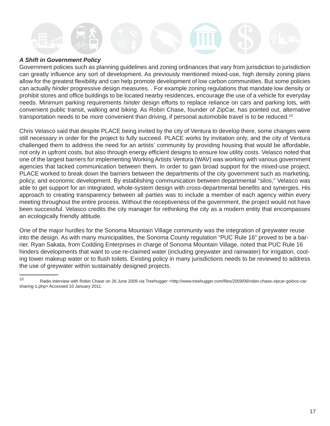## *A Shift in Government Policy*

Government policies such as planning guidelines and zoning ordinances that vary from jurisdiction to jurisdiction can greatly influence any sort of development. As previously mentioned mixed-use, high density zoning plans allow for the greatest flexibility and can help promote development of low carbon communities. But some policies can actually *hinder* progressive design measures. . For example zoning regulations that mandate low density or prohibit stores and office buildings to be located nearby residences, encourage the use of a vehicle for everyday needs. Minimum parking requirements *hinder* design efforts to replace reliance on cars and parking lots, with convenient public transit, walking and biking. As Robin Chase, founder of ZipCar, has pointed out, alternative transportation needs to be *more* convenient than driving, if personal automobile travel is to be reduced.10

Chris Velasco said that despite PLACE being invited by the city of Ventura to develop there, some changes were still necessary in order for the project to fully succeed. PLACE works by invitation only, and the city of Ventura challenged them to address the need for an artists' community by providing housing that would be affordable, not only in upfront costs, but also through energy efficient designs to ensure low utility costs. Velasco noted that one of the largest barriers for implementing Working Artists Ventura (WAV) was working with various government agencies that lacked communication between them. In order to gain broad support for the mixed-use project, PLACE worked to break down the barriers between the departments of the city government such as marketing, policy, and economic development. By establishing communication between departmental "silos," Velasco was able to get support for an integrated, whole-system design with cross-departmental benefits and synergies. His approach to creating transparency between all parties was to include a member of each agency within every meeting throughout the entire process. Without the receptiveness of the government, the project would not have been successful. Velasco credits the city manager for rethinking the city as a modern entity that encompasses an ecologically friendly attitude.

One of the major hurdles for the Sonoma Mountain Village community was the integration of greywater reuse into the design. As with many municipalities, the Sonoma County regulation "PUC Rule 16" proved to be a barrier. Ryan Sakata, from Codding Enterprises in charge of Sonoma Mountain Village, noted that PUC Rule 16 hinders developments that want to use re-claimed water (including greywater and rainwater) for irrigation, cooling tower makeup water or to flush toilets. Existing policy in many jurisdictions needs to be reviewed to address the use of greywater within sustainably designed projects.

<sup>10</sup> Radio interview with Robin Chase on 26 June 2009 via Treehugger <http://www.treehugger.com/files/2009/06/robin-chase-zipcar-goloco-carsharing-1.php> Accessed 10 January 2011.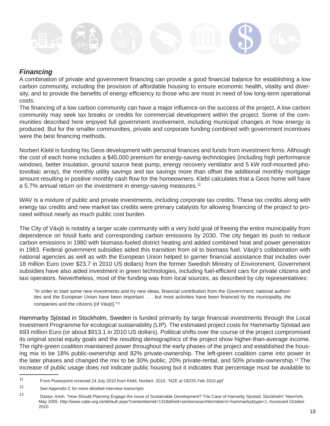

## *Financing*

A combination of private and government financing can provide a good financial balance for establishing a low carbon community, including the provision of affordable housing to ensure economic health, vitality and diversity, and to provide the benefits of energy efficiency to those who are most in need of low long-term operational costs.

The financing of a low carbon community can have a major influence on the success of the project. A low carbon community may seek tax breaks or credits for commercial development within the project. Some of the communities described here enjoyed full government involvement, including municipal changes in how energy is produced. But for the smaller communities, private and corporate funding combined with government incentives were the best financing methods.

Norbert Klebl is funding his Geos development with personal finances and funds from investment firms. Although the cost of each home includes a \$45,000 premium for energy-saving technologies (including high performance windows, better insulation, ground source heat pump, energy recovery ventilator and 5 kW roof-mounted photovoltaic array), the monthly utility savings and tax savings more than offset the additional monthly mortgage amount resulting in positive monthly cash flow for the homeowners. Klebl calculates that a Geos home will have a 5.7% annual return on the investment in energy-saving measures.<sup>11</sup>

WAV is a mixture of public and private investments, including corporate tax credits. These tax credits along with energy tax credits and new market tax credits were primary catalysts for allowing financing of the project to proceed without nearly as much public cost burden.

The City of Växjö is notably a larger scale community with a very bold goal of freeing the entire municipality from dependence on fossil fuels and corresponding carbon emissions by 2030. The city began its push to reduce carbon emissions in 1980 with biomass-fueled district heating and added combined heat and power generation in 1983. Federal government subsidies aided this transition from oil to biomass fuel. Växjö's collaboration with national agencies as well as with the European Union helped to garner financial assistance that includes over 18 million Euro (over \$23.7 in 2010 US dollars) from the former Swedish Ministry of Environment. Government subsidies have also aided investment in green technologies, including fuel-efficient cars for private citizens and taxi operators. Nevertheless, most of the funding was from local sources, as described by city representatives:

"In order to start some new investments and try new ideas, financial contribution from the Government, national authorities and the European Union have been important . . . but most activities have been financed by the municipality, the companies and the citizens [of Växjö]."12

Hammarby Sjöstad in Stockholm, Sweden is funded primarily by large financial investments through the Local Investment Programme for ecological sustainability (LIP). The estimated project costs for Hammarby Sjöstad are 693 million Euro (or about \$913.1 in 2010 US dollars). Political shifts over the course of the project compromised its original social equity goals and the resulting demographics of the project show higher-than-average income. The right-green coalition maintained power throughout the early phases of the project and established the housing mix to be 18% public-ownership and 82% private-ownership. The left-green coalition came into power in the later phases and changed the mix to be 30% public, 20% private-rental, and 50% private-ownership.13 The increase of public usage does not indicate public housing but it indicates that percentage must be available to

<sup>11</sup> From Powerpoint received 24 July 2010 from Klebl, Norbert. 2010. "NZE at GEOS Feb 2010.ppt"

<sup>12</sup> See Appendix C for more detailed interview transcripts

<sup>13</sup> Dastur, Arish. "How Should Planning Engage the Issue of Sustainable Development? The Case of Hamarby Sjostad, Stockholm" NewYork. May 2005. http://www.cabe.org.uk/default.aspx?contentitemid=1318&field=sectionsearchterm&term=hammarby&type=1. Accessed October 2010.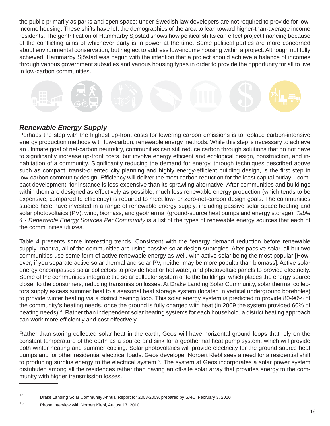the public primarily as parks and open space; under Swedish law developers are not required to provide for lowincome housing. These shifts have left the demographics of the area to lean toward higher-than-average income residents. The gentrification of Hammarby Sjöstad shows how political shifts can effect project financing because of the conflicting aims of whichever party is in power at the time. Some political parties are more concerned about environmental conservation, but neglect to address low-income housing within a project. Although not fully achieved, Hammarby Sjöstad was begun with the intention that a project should achieve a balance of incomes through various government subsidies and various housing types in order to provide the opportunity for all to live in low-carbon communities.

## *Renewable Energy Supply*

Perhaps the step with the highest up-front costs for lowering carbon emissions is to replace carbon-intensive energy production methods with low-carbon, renewable energy methods. While this step is necessary to achieve an ultimate goal of net-carbon neutrality, communities can still reduce carbon through solutions that do not have to significantly increase up-front costs, but involve energy efficient and ecological design, construction, and inhabitation of a community. Significantly reducing the demand for energy, through techniques described above such as compact, transit-oriented city planning and highly energy-efficient building design, is the first step in low-carbon community design. Efficiency will deliver the most carbon reduction for the least capital outlay—compact development, for instance is less expensive than its sprawling alternative. After communities and buildings within them are designed as effectively as possible, much less renewable energy production (which tends to be expensive, compared to efficiency) is required to meet low- or zero-net-carbon design goals. The communities studied here have invested in a range of renewable energy supply, including passive solar space heating and solar photovoltaics (PV), wind, biomass, and geothermal (ground-source heat pumps and energy storage). *Table 4 - Renewable Energy Sources Per Community* is a list of the types of renewable energy sources that each of the communities utilizes.

Table 4 presents some interesting trends. Consistent with the "energy demand reduction before renewable supply" mantra, all of the communities are using passive solar design strategies. After passive solar, all but two communities use some form of active renewable energy as well, with active solar being the most popular [However, if you separate active solar thermal and solar PV, neither may be more popular than biomass]. Active solar energy encompasses solar collectors to provide heat or hot water, and photovoltaic panels to provide electricity. Some of the communities integrate the solar collector system onto the buildings, which places the energy source closer to the consumers, reducing transmission losses. At Drake Landing Solar Community, solar thermal collectors supply excess summer heat to a seasonal heat storage system (located in vertical underground boreholes) to provide winter heating via a district heating loop. This solar energy system is predicted to provide 80-90% of the community's heating needs, once the ground is fully charged with heat (in 2009 the system provided 60% of heating needs)<sup>14</sup>. Rather than independent solar heating systems for each household, a district heating approach can work more efficiently and cost effectively.

Rather than storing collected solar heat in the earth, Geos will have horizontal ground loops that rely on the constant temperature of the earth as a source and sink for a geothermal heat pump system, which will provide both winter heating and summer cooling. Solar photovoltaics will provide electricity for the ground source heat pumps and for other residential electrical loads. Geos developer Norbert Klebl sees a need for a residential shift to producing surplus energy to the electrical system<sup>15</sup>. The system at Geos incorporates a solar power system distributed among all the residences rather than having an off-site solar array that provides energy to the community with higher transmission losses.

<sup>14</sup> Drake Landing Solar Community Annual Report for 2008-2009, prepared by SAIC, February 3, 2010

<sup>15</sup> Phone interview with Norbert Klebl, August 17, 2010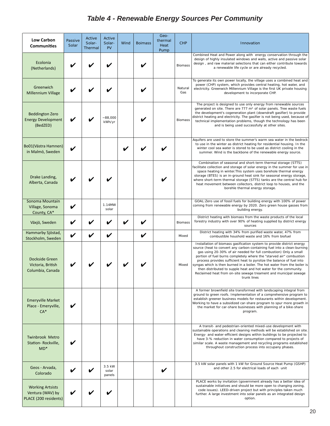## *Table 4 - Renewable Energy Sources Per Community*

| <b>Low Carbon</b><br><b>Communities</b>                              | Passive<br>Solar   | Active<br>Solar-<br>Thermal | Active<br>Solar-<br><b>PV</b> | Wind | <b>Boimass</b> | Geo-<br>thermal<br>Heat<br>Pump | <b>CHP</b>     | Innovation                                                                                                                                                                                                                                                                                                                                                                                                                                                                                                                                                                                                |
|----------------------------------------------------------------------|--------------------|-----------------------------|-------------------------------|------|----------------|---------------------------------|----------------|-----------------------------------------------------------------------------------------------------------------------------------------------------------------------------------------------------------------------------------------------------------------------------------------------------------------------------------------------------------------------------------------------------------------------------------------------------------------------------------------------------------------------------------------------------------------------------------------------------------|
| Ecolonia<br>(Netherlands)                                            |                    |                             |                               |      |                |                                 | Biomass        | Combined Heat and Power along with energy conservation through the<br>design of highly insulated windows and walls, active and passive solar<br>design, and raw material selections that can either contribute towards<br>a renewable life cycle or are already recycled.                                                                                                                                                                                                                                                                                                                                 |
| Greenwich<br>Millennium Village                                      |                    |                             |                               |      |                |                                 | Natural<br>Gas | To generate its own power locally, the village uses a combined heat and<br>power (CHP) system, which provides central heating, hot water, and<br>electricity. Greenwich Millennium Village is the first UK private housing<br>development to incorporate CHP.                                                                                                                                                                                                                                                                                                                                             |
| <b>Beddington Zero</b><br><b>Energy Development</b><br>(BedZED)      |                    |                             | $-88,000$<br>kWh/yr           |      |                |                                 | <b>Biomass</b> | The project is designed to use only energy from renewable sources<br>generated on site. There are 777 m <sup>2</sup> of solar panels. Tree waste fuels<br>the development's cogeneration plant (downdraft gasifier) to provide<br>district heating and electricity. The gasifier is not being used, because of<br>technical implementation problems, though the technology has been<br>and is being used successfully at other sites.                                                                                                                                                                     |
| Bo01(Västra Hamnen)<br>in Malmö, Sweden                              |                    |                             |                               |      |                |                                 |                | Aquifers are used to store the summer's warm sea water in the bedrock<br>to use in the winter as district heating for residential housing. In the<br>winter cool sea water is stored to be used as district cooling in the<br>summer. Wind is the backbone of the renewable energy source.                                                                                                                                                                                                                                                                                                                |
| Drake Landing,<br>Alberta, Canada                                    |                    |                             |                               |      |                |                                 |                | Combination of seasonal and short-term thermal storage (STTS)<br>facilitate collection and storage of solar energy in the summer for use in<br>space heating in winter. This system uses borehole thermal energy<br>storage (BTES) is an in-ground heat sink for seasonal energy storage,<br>where short-term thermal storage (STTS) tanks are the central hub for<br>heat movement between collectors, district loop to houses, and the<br>borehle thermal energy storage.                                                                                                                               |
| Sonoma Mountain<br>Village, Sonoma<br>County, CA*                    |                    |                             | 1.14MW<br>solar               |      |                |                                 |                | GOAL: Zero use of fossil fuels for building energy with 100% of power<br>coming from renewable energy by 2020. Zero green house gasses from<br>building energy.                                                                                                                                                                                                                                                                                                                                                                                                                                           |
| Växjö, Sweden                                                        |                    |                             |                               |      |                |                                 | <b>Biomass</b> | District heating with biomass from the waste products of the local<br>forestry industry with over 90% of heating supplied by district energy<br>sources                                                                                                                                                                                                                                                                                                                                                                                                                                                   |
| Hammarby Sjöstad,<br>Stockholm, Sweden                               | $\boldsymbol{\nu}$ |                             |                               |      | V              |                                 | Mixed          | District heating with 34% from purified waste water, 47% from<br>combustible houshold waste and 16% from biofuel                                                                                                                                                                                                                                                                                                                                                                                                                                                                                          |
| Dockside Green<br>Victoria, British<br>Columbia, Canada              |                    |                             |                               |      |                |                                 | Mixed          | Installation of biomass gasification system to provide district energy<br>source (heat to convert any carbon-containing fuel into a clean-burning<br>gas using 20-30% of air needed for full combustion) Only a small<br>portion of fuel burns completely where the "starved air" combustion<br>process provides sufficient heat to pyrolize the balance of fuel into<br>syngas which is then burned in a boiler. The hot water from the boiler is<br>then distributed to supple heat and hot water for the community.<br>Reclaimed heat from on-site sewage treament and municipal sewage<br>trunk lines |
| <b>Emeryville Market</b><br>Place - Emeryville,<br>$CA*$             |                    |                             |                               |      |                |                                 |                | A former brownfield site transformed with landscaping integral from<br>ground to green roofs. Implementation of a comprehensive program to<br>establish greener business models for restaurants within development.<br>Working to have a subsidized car-share program to spur more growth in<br>the market for car-share businesses with planning of a bike-share<br>program.                                                                                                                                                                                                                             |
| <b>Twinbrook Metro</b><br>Station-Rockville,<br>$MD*$                |                    |                             |                               |      |                |                                 |                | A transit- and pedestrian-oriented mixed-use development with<br>sustainable operations and cleaning methods will be established on site.<br>Energy- and water-efficient designs within buildings to be projected to<br>have 3-% reduction in water consumption compared to projects of<br>similar scale. A waste management and recycling programs established<br>throughout construction process into occupany phases.                                                                                                                                                                                  |
| Geos - Arvada,<br>Colorado                                           |                    |                             | 3.5 kW<br>solar<br>panels     |      |                |                                 |                | 3.5 kW solar panels with 1 kW for Ground Source Heat Pump (GSHP)<br>and other 2.5 for electrical loads of each unit                                                                                                                                                                                                                                                                                                                                                                                                                                                                                       |
| <b>Working Artsists</b><br>Ventura (WAV) by<br>PLACE (200 residents) |                    |                             |                               |      |                |                                 |                | PLACE works by invitation (government already has a better idea of<br>sustainable initiatives and should be more open to changing zoning,<br>code issues). LEED-driven project but with principles taken much<br>further. A large investment into solar panels as an integrated design<br>option.                                                                                                                                                                                                                                                                                                         |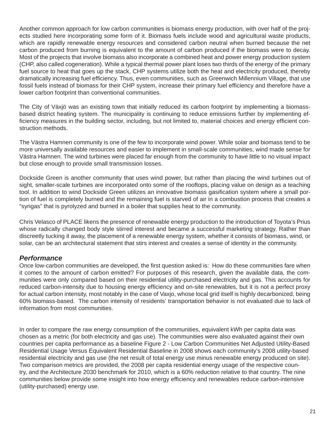Another common approach for low carbon communities is biomass energy production, with over half of the projects studied here incorporating some form of it. Biomass fuels include wood and agricultural waste products, which are rapidly renewable energy resources and considered carbon neutral when burned because the net carbon produced from burning is equivalent to the amount of carbon produced if the biomass were to decay. Most of the projects that involve biomass also incorporate a combined heat and power energy production system (CHP, also called cogeneration). While a typical thermal power plant loses two thirds of the energy of the primary fuel source to heat that goes up the stack, CHP systems utilize both the heat and electricity produced, thereby dramatically increasing fuel efficiency. Thus, even communities, such as Greenwich Millennium Village, that use fossil fuels instead of biomass for their CHP system, increase their primary fuel efficiency and therefore have a lower carbon footprint than conventional communities.

The City of Växjö was an existing town that initially reduced its carbon footprint by implementing a biomassbased district heating system. The municipality is continuing to reduce emissions further by implementing efficiency measures in the building sector, including, but not limited to, material choices and energy efficient construction methods.

The Västra Hamnen community is one of the few to incorporate wind power. While solar and biomass tend to be more universally available resources and easier to implement in small-scale communities, wind made sense for Västra Hamnen. The wind turbines were placed far enough from the community to have little to no visual impact but close enough to provide small transmission losses.

Dockside Green is another community that uses wind power, but rather than placing the wind turbines out of sight, smaller-scale turbines are incorporated onto some of the rooftops, placing value on design as a teaching tool. In addition to wind Dockside Green utilizes an innovative biomass gasification system where a small portion of fuel is completely burned and the remaining fuel is starved of air in a combustion process that creates a "syngas" that is pyrolyzed and burned in a boiler that supplies heat to the community.

Chris Velasco of PLACE likens the presence of renewable energy production to the introduction of Toyota's Prius whose radically changed body style stirred interest and became a successful marketing strategy. Rather than discreetly tucking it away, the placement of a renewable energy system, whether it consists of biomass, wind, or solar, can be an architectural statement that stirs interest and creates a sense of identity in the community.

## *Performance*

Once low-carbon communities are developed, the first question asked is: How do these communities fare when it comes to the amount of carbon emitted? For purposes of this research, given the available data, the communities were only compared based on their residential utility-purchased electricity and gas. This accounts for reduced carbon-intensity due to housing energy efficiency and on-site renewables, but it is not a perfect proxy for actual carbon intensity, most notably in the case of Vaxjo, whose local grid itself is highly decarbonized, being 60% biomass-based. The carbon intensity of residents' transportation behavior is not evaluated due to lack of information from most communities.

In order to compare the raw energy consumption of the communities, equivalent kWh per capita data was chosen as a metric (for both electricity and gas use). The communities were also evaluated against their own countries per capita performance as a baseline Figure 2 - Low Carbon Communities Net Adjusted Utility-Based Residential Usage Versus Equivalent Residential Baseline in 2008 shows each community's 2008 utility-based residential electricity and gas use (the net result of total energy use minus renewable energy produced on site). Two comparison metrics are provided, the 2008 per capita residential energy usage of the respective country, and the Architecture 2030 benchmark for 2010, which is a 60% reduction relative to that country. The nine communities below provide some insight into how energy efficiency and renewables reduce carbon-intensive (utility-purchased) energy use.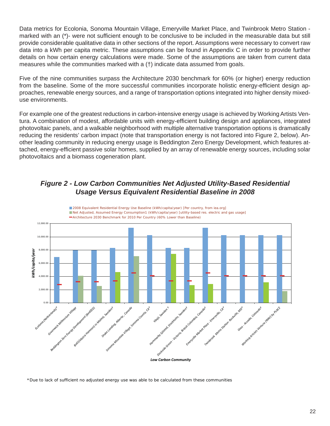Data metrics for Ecolonia, Sonoma Mountain Village, Emeryville Market Place, and Twinbrook Metro Station marked with an (\*)- were not sufficient enough to be conclusive to be included in the measurable data but still provide considerable qualitative data in other sections of the report. Assumptions were necessary to convert raw data into a kWh per capita metric. These assumptions can be found in Appendix C in order to provide further details on how certain energy calculations were made. Some of the assumptions are taken from current data measures while the communities marked with a (†) indicate data assumed from goals.

Five of the nine communities surpass the Architecture 2030 benchmark for 60% (or higher) energy reduction from the baseline. Some of the more successful communities incorporate holistic energy-efficient design approaches, renewable energy sources, and a range of transportation options integrated into higher density mixeduse environments.

For example one of the greatest reductions in carbon-intensive energy usage is achieved by Working Artists Ventura. A combination of modest, affordable units with energy-efficient building design and appliances, integrated photovoltaic panels, and a walkable neighborhood with multiple alternative transportation options is dramatically reducing the residents' carbon impact (note that transportation energy is not factored into Figure 2, below). Another leading community in reducing energy usage is Beddington Zero Energy Development, which features attached, energy-efficient passive solar homes, supplied by an array of renewable energy sources, including solar photovoltaics and a biomass cogeneration plant.

## *Figure 2 - Low Carbon Communities Net Adjusted Utility-Based Residential Usage Versus Equivalent Residential Baseline in 2008*



**2008 Equivalent Residential Energy Use Baseline (kWh/capita/year) [Per country, from iea.org]** 

\*Due to lack of sufficient no adjusted energy use was able to be calculated from these communities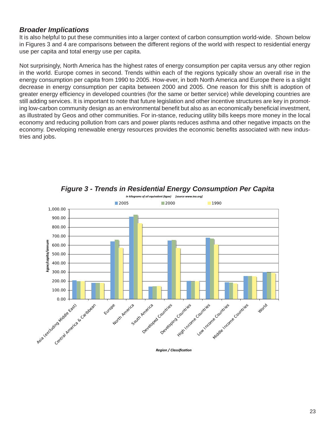## *Broader Implications*

It is also helpful to put these communities into a larger context of carbon consumption world-wide. Shown below in Figures 3 and 4 are comparisons between the different regions of the world with respect to residential energy use per capita and total energy use per capita.

Not surprisingly, North America has the highest rates of energy consumption per capita versus any other region in the world. Europe comes in second. Trends within each of the regions typically show an overall rise in the energy consumption per capita from 1990 to 2005. How-ever, in both North America and Europe there is a slight decrease in energy consumption per capita between 2000 and 2005. One reason for this shift is adoption of greater energy efficiency in developed countries (for the same or better service) while developing countries are still adding services. It is important to note that future legislation and other incentive structures are key in promoting low-carbon community design as an environmental benefit but also as an economically beneficial investment, as illustrated by Geos and other communities. For in-stance, reducing utility bills keeps more money in the local economy and reducing pollution from cars and power plants reduces asthma and other negative impacts on the economy. Developing renewable energy resources provides the economic benefits associated with new industries and jobs.



*Figure 3 - Trends in Residential Energy Consumption Per Capita*

 *-*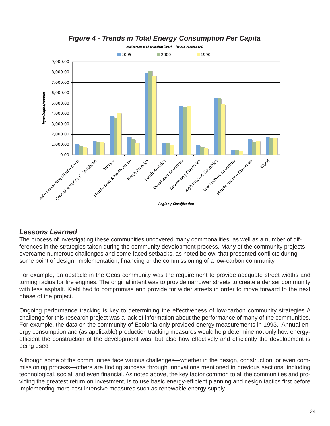

## *Figure 4 - Trends in Total Energy Consumption Per Capita*

## *Lessons Learned*

The process of investigating these communities uncovered many commonalities, as well as a number of differences in the strategies taken during the community development process. Many of the community projects overcame numerous challenges and some faced setbacks, as noted below, that presented conflicts during some point of design, implementation, financing or the commissioning of a low-carbon community.

For example, an obstacle in the Geos community was the requirement to provide adequate street widths and turning radius for fire engines. The original intent was to provide narrower streets to create a denser community with less asphalt. Klebl had to compromise and provide for wider streets in order to move forward to the next phase of the project.

Ongoing performance tracking is key to determining the effectiveness of low-carbon community strategies A challenge for this research project was a lack of information about the performance of many of the communities. For example, the data on the community of Ecolonia only provided energy measurements in 1993. Annual energy consumption and (as applicable) production tracking measures would help determine not only how energyefficient the construction of the development was, but also how effectively and efficiently the development is being used.

Although some of the communities face various challenges—whether in the design, construction, or even commissioning process—others are finding success through innovations mentioned in previous sections: including technological, social, and even financial. As noted above, the key factor common to all the communities and providing the greatest return on investment, is to use basic energy-efficient planning and design tactics first before implementing more cost-intensive measures such as renewable energy supply.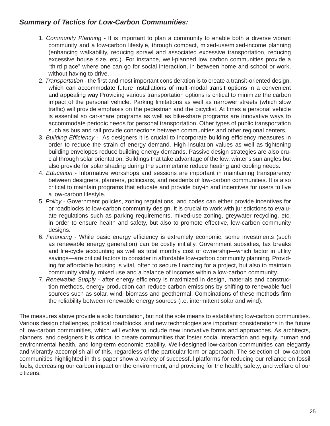## *Summary of Tactics for Low-Carbon Communities:*

- 1. *Community Planning*  It is important to plan a community to enable both a diverse vibrant community and a low-carbon lifestyle, through compact, mixed-use/mixed-income planning (enhancing walkability, reducing sprawl and associated excessive transportation, reducing excessive house size, etc.). For instance, well-planned low carbon communities provide a "third place" where one can go for social interaction, in between home and school or work, without having to drive.
- 2. *Transportation* the first and most important consideration is to create a transit-oriented design, which can accommodate future installations of multi-modal transit options in a convenient and appealing way Providing various transportation options is critical to minimize the carbon impact of the personal vehicle. Parking limitations as well as narrower streets (which slow traffic) will provide emphasis on the pedestrian and the bicyclist. At times a personal vehicle is essential so car-share programs as well as bike-share programs are innovative ways to accommodate periodic needs for personal transportation. Other types of public transportation such as bus and rail provide connections between communities and other regional centers.
- 3. *Building Efficiency* As designers it is crucial to incorporate building efficiency measures in order to reduce the strain of energy demand. High insulation values as well as tightening building envelopes reduce building energy demands. Passive design strategies are also crucial through solar orientation. Buildings that take advantage of the low, winter's sun angles but also provide for solar shading during the summertime reduce heating and cooling needs.
- 4. *Education*  Informative workshops and sessions are important in maintaining transparency between designers, planners, politicians, and residents of low-carbon communities. It is also critical to maintain programs that educate and provide buy-in and incentives for users to live a low-carbon lifestyle.
- 5. *Policy*  Government policies, zoning regulations, and codes can either provide incentives for or roadblocks to low-carbon community design. It is crucial to work with jurisdictions to evaluate regulations such as parking requirements, mixed-use zoning, greywater recycling, etc. in order to ensure health and safety, but also to promote effective, low-carbon community designs.
- 6. Financing While basic energy efficiency is extremely economic, some investments (such as renewable energy generation) can be costly initially. Government subsidies, tax breaks and life-cycle accounting as well as total monthly cost of ownership—which factor in utility savings—are critical factors to consider in affordable low-carbon community planning. Providing for affordable housing is vital, often to secure financing for a project, but also to maintain community vitality, mixed use and a balance of incomes within a low-carbon community.
- 7. *Renewable Supply after energy efficiency is maximized in design, materials and construc*tion methods, energy production can reduce carbon emissions by shifting to renewable fuel sources such as solar, wind, biomass and geothermal. Combinations of these methods firm the reliability between renewable energy sources (i.e. intermittent solar and wind).

The measures above provide a solid foundation, but not the sole means to establishing low-carbon communities. Various design challenges, political roadblocks, and new technologies are important considerations in the future of low-carbon communities, which will evolve to include new innovative forms and approaches. As architects, planners, and designers it is critical to create communities that foster social interaction and equity, human and environmental health, and long-term economic stability. Well-designed low-carbon communities can elegantly and vibrantly accomplish all of this, regardless of the particular form or approach. The selection of low-carbon communities highlighted in this paper show a variety of successful platforms for reducing our reliance on fossil fuels, decreasing our carbon impact on the environment, and providing for the health, safety, and welfare of our citizens.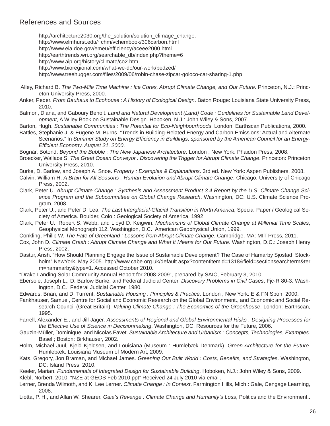## **References and Sources**

 http://architecture2030.org/the\_solution/solution\_climage\_change. http://www.elmhurst.edu/~chm/vchembook/306carbon.html http://www.eia.doe.gov/emeu/efficiency/aceee2000.html http://earthtrends.wri.org/searchable\_db/index.php?theme=6 http://www.aip.org/history/climate/co2.htm http://www.bioregional.com/what-we-do/our-work/bedzed/ http://www.treehugger.com/files/2009/06/robin-chase-zipcar-goloco-car-sharing-1.php

- Alley, Richard B. *The Two-Mile Time Machine : Ice Cores, Abrupt Climate Change, and Our Future*. Princeton, N.J.: Princeton University Press, 2000.
- Anker, Peder. *From Bauhaus to Ecohouse : A History of Ecological Design*. Baton Rouge: Louisiana State University Press, 2010.
- Balmori, Diana, and Gaboury Benoit. *Land and Natural Development (Land) Code : Guidelines for Sustainable Land Development*, A Wiley Book on Sustainable Design. Hoboken, N.J.: John Wiley & Sons, 2007.
- Barton, Hugh. *Sustainable Communities : The Potential for Eco-Neighbourhoods*. London: Earthscan Publications, 2000.
- Battles, Stephanie J & Eugene M. Burns. "Trends in Building-Related Energy and Carbon Emissions: Actual and Alternate Scenarios." In Summer Study on Energy Efficiency in Buildings, sponsored by the American Council for an Energy-*Effi cient Economy, August 21, 2000*.
- Bognár, Botond. *Beyond the Bubble : The New Japanese Architecture*. London ; New York: Phaidon Press, 2008.
- Broecker, Wallace S. *The Great Ocean Conveyor : Discovering the Trigger for Abrupt Climate Change*. Princeton: Princeton University Press, 2010.
- Burke, D. Barlow, and Joseph A. Snoe. *Property : Examples & Explanations*. 3rd ed. New York: Aspen Publishers, 2008.
- Calvin, William H. *A Brain for All Seasons : Human Evolution and Abrupt Climate Change*. Chicago: University of Chicago Press, 2002.
- Clark, Peter U. *Abrupt Climate Change : Synthesis and Assessment Product 3.4 Report by the U.S. Climate Change Science Program and the Subcommittee on Global Change Research*. Washington, DC: U.S. Climate Science Program, 2008.
- Clark, Peter U., and Peter D. Lea. *The Last Interglacial-Glacial Transition in North America*, Special Paper / Geological Society of America. Boulder, Colo.: Geological Society of America, 1992.
- Clark, Peter U., Robert S. Webb, and Lloyd D. Keigwin. *Mechanisms of Global Climate Change at Millenial Time Scales*, Geophysical Monograph 112. Washington, D.C.: American Geophysical Union, 1999.
- Conkling, Philip W. *The Fate of Greenland : Lessons from Abrupt Climate Change*. Cambridge, MA: MIT Press, 2011.
- Cox, John D. *Climate Crash : Abrupt Climate Change and What It Means for Our Future*. Washington, D.C.: Joseph Henry Press, 2002.
- Dastur, Arish. "How Should Planning Engage the Issue of Sustainable Development? The Case of Hamarby Sjostad, Stockholm" NewYork. May 2005. http://www.cabe.org.uk/default.aspx?contentitemid=1318&field=sectionsearchterm&ter m=hammarby&type=1. Accessed October 2010.
- "Drake Landing Solar Community Annual Report for 2008-2009", prepared by SAIC, February 3, 2010.
- Ebersole, Joseph L., D. Barlow Burke, and Federal Judicial Center. *Discovery Problems in Civil Cases*, Fjc-R 80-3. Washington, D.C.: Federal Judicial Center, 1980.
- Edwards, Brian, and D. Turrent. *Sustainable Housing : Principles & Practice*. London ; New York: E & FN Spon, 2000.
- Fankhauser, Samuel, Centre for Social and Economic Research on the Global Environment., and Economic and Social Research Council (Great Britain). *Valuing Climate Change : The Economics of the Greenhouse*. London: Earthscan, 1995.
- Farrell, Alexander E., and Jill Jäger. *Assessments of Regional and Global Environmental Risks : Designing Processes for the Effective Use of Science in Decisionmaking*. Washington, DC: Resources for the Future, 2006.
- Gauzin-Müller, Dominique, and Nicolas Favet. *Sustainable Architecture and Urbanism : Concepts, Technologies, Examples*. Basel ; Boston: Birkhauser, 2002.
- Holm, Michael Juul, Kjeld Kjeldsen, and Louisiana (Museum : Humlebæk Denmark). *Green Architecture for the Future*. Humlebæk: Louisiana Museum of Modern Art, 2009.
- Kats, Gregory, Jon Braman, and Michael James. *Greening Our Built World : Costs, Benefi ts, and Strategies*. Washington, DC: Island Press, 2010.
- Keeler, Marian. *Fundamentals of Integrated Design for Sustainable Building*. Hoboken, N.J.: John Wiley & Sons, 2009. Klebl, Norbert. 2010. "NZE at GEOS Feb 2010.ppt" Received 24 July 2010 via email.
- Lerner, Brenda Wilmoth, and K. Lee Lerner. *Climate Change : In Context*. Farmington Hills, Mich.: Gale, Cengage Learning, 2008.
- Liotta, P. H., and Allan W. Shearer. *Gaia's Revenge : Climate Change and Humanity's Loss*, Politics and the Environment,.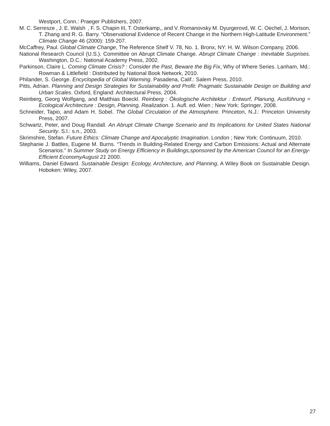Westport, Conn.: Praeger Publishers, 2007.

- M. C. Serresze , J. E. Walsh , F. S. Chapin III, T. Osterkamp,, and V. Romanovsky M. Dyurgerovd, W. C. Oechel, J. Morison, T. Zhang and R. G. Barry. "Observational Evidence of Recent Change in the Northern High-Latitude Environment." *Climate Change* 46 (2000): 159-207.
- McCaffrey, Paul. *Global Climate Change*, The Reference Shelf V. 78, No. 1. Bronx, NY: H. W. Wilson Company, 2006.
- National Research Council (U.S.). Committee on Abrupt Climate Change. *Abrupt Climate Change : Inevitable Surprises*. Washington, D.C.: National Academy Press, 2002.
- Parkinson, Claire L. *Coming Climate Crisis? : Consider the Past, Beware the Big Fix*, Why of Where Series. Lanham, Md.: Rowman & Littlefield : Distributed by National Book Network, 2010.
- Philander, S. George. *Encyclopedia of Global Warming*. Pasadena, Calif.: Salem Press, 2010.
- Pitts, Adrian. Planning and Design Strategies for Sustainability and Profit: Pragmatic Sustainable Design on Building and *Urban Scales*. Oxford, England: Architectural Press, 2004.
- Reinberg, Georg Wolfgang, and Matthias Boeckl. *Reinberg : Ökologische Architektur : Entwurf, Planung, Ausführung = Ecological Architecture : Design, Planning, Realization*. 1. Aufl . ed. Wien ; New York: Springer, 2008.
- Schneider, Tapio, and Adam H. Sobel. *The Global Circulation of the Atmosphere*. Princeton, N.J.: Princeton University Press, 2007.
- Schwartz, Peter, and Doug Randall. *An Abrupt Climate Change Scenario and Its Implications for United States National Security*. S.l.: s.n., 2003.
- Skrimshire, Stefan. *Future Ethics: Climate Change and Apocalyptic Imagination*. London ; New York: Continuum, 2010.
- Stephanie J. Battles, Eugene M. Burns. "Trends in Building-Related Energy and Carbon Emissions: Actual and Alternate Scenarios." In *Summer Study on Energy Efficiency in Buildings, sponsored by the American Council for an Energy-Effi cient EconomyAugust 21* 2000.
- Williams, Daniel Edward. *Sustainable Design: Ecology, Architecture, and Planning*, A Wiley Book on Sustainable Design. Hoboken: Wiley, 2007.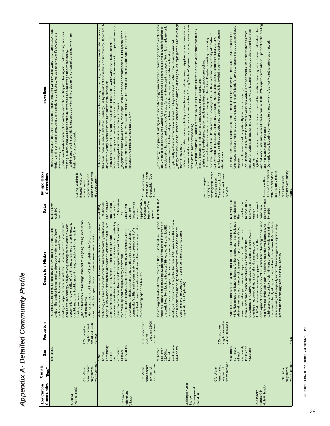| Low Carbon                                           | Climate                                                  | Size                                                                                     | Population                                                       | Description/ Mission                                                                                                                                                                                                                                                                                                                                                                                                                                                                                                                                                                                                                                                                                                                                                                                                                                                                                                                                                                 | Status                                                                                                                                                                                                           | Transportation                                                                                                                                            | Innovations                                                                                                                                                                                                                                                                                                                                                                                                                                                                                                                                                                                                                                                                                                                                                                                                                                                                                                                                                                                                                                                                                                                                                                                                                                                                                                                                                                                                                                                                                                                                                                                                                                                  |
|------------------------------------------------------|----------------------------------------------------------|------------------------------------------------------------------------------------------|------------------------------------------------------------------|--------------------------------------------------------------------------------------------------------------------------------------------------------------------------------------------------------------------------------------------------------------------------------------------------------------------------------------------------------------------------------------------------------------------------------------------------------------------------------------------------------------------------------------------------------------------------------------------------------------------------------------------------------------------------------------------------------------------------------------------------------------------------------------------------------------------------------------------------------------------------------------------------------------------------------------------------------------------------------------|------------------------------------------------------------------------------------------------------------------------------------------------------------------------------------------------------------------|-----------------------------------------------------------------------------------------------------------------------------------------------------------|--------------------------------------------------------------------------------------------------------------------------------------------------------------------------------------------------------------------------------------------------------------------------------------------------------------------------------------------------------------------------------------------------------------------------------------------------------------------------------------------------------------------------------------------------------------------------------------------------------------------------------------------------------------------------------------------------------------------------------------------------------------------------------------------------------------------------------------------------------------------------------------------------------------------------------------------------------------------------------------------------------------------------------------------------------------------------------------------------------------------------------------------------------------------------------------------------------------------------------------------------------------------------------------------------------------------------------------------------------------------------------------------------------------------------------------------------------------------------------------------------------------------------------------------------------------------------------------------------------------------------------------------------------------|
| Communities                                          | Type <sup>a</sup>                                        |                                                                                          |                                                                  |                                                                                                                                                                                                                                                                                                                                                                                                                                                                                                                                                                                                                                                                                                                                                                                                                                                                                                                                                                                      |                                                                                                                                                                                                                  | Connections                                                                                                                                               |                                                                                                                                                                                                                                                                                                                                                                                                                                                                                                                                                                                                                                                                                                                                                                                                                                                                                                                                                                                                                                                                                                                                                                                                                                                                                                                                                                                                                                                                                                                                                                                                                                                              |
| (Netherlands)<br>Ecolonia                            | warm summer<br>temperature,<br>fully humid<br>Cfb: Warm  | $6.67$ acres                                                                             | size of 2.3 (x100<br>avg household<br>230* based on<br>homes)    | to on-going testing, evaluation<br>Homes are arranged in groups of 8 to 18 buildings to foster a sense of<br>passive<br>consumption, recyclability of building materials, organic architecture,<br>and active solar energy, energy saving strategies, reduction in water<br>durable materials, flexible ground plans, soundproofingng, healthy<br>Ecolonia is a major EU-funded low energy housing demonstration<br>project. The project is organised to develop a wide range of new<br>ecological aspects. These include the: use of rainwater, use of<br>technologies and housing designs, each focused on different<br>community. Each group has a different environmental priority<br>The performance of buildings is subject<br>building materials<br>and monitoring.                                                                                                                                                                                                           | Built in 1989<br>with 100<br>homes                                                                                                                                                                               | station from center<br>Cycling/walking is<br>stressed with a 10<br>regional transport<br>of development<br>minute walk to                                 | Energy conservation through the design of highly insulated windows and walls, active and passive solar<br>design, and raw material selections that can either contribute towards a renewable life cycle or are<br>Reduction of water consumption and rainwater harvesting used for irigation, toilet flushing, and car<br>Walking and cycling are highly encouraged with minimal design for car based transport, which are<br>washing. Constructed wetlands contribute towards a natural sewage treatment facility<br>designed for a slow speed.<br>already recycled                                                                                                                                                                                                                                                                                                                                                                                                                                                                                                                                                                                                                                                                                                                                                                                                                                                                                                                                                                                                                                                                                         |
| Greenwich<br>Millennium<br>Village                   | warm summer<br>temperature,<br>fully humid<br>Cfb: Warm  | community<br>on 72 acres<br>commerci<br>al space<br>facilities<br>homes,<br>2,700<br>and | 1095 homes as of<br>more than 13000<br>homes planned<br>2008 ith | technology ensures the construction of an environmentally sustainable<br>village. GMV was the first substantial private development in the UK to<br>performance windows, thermal insulation standards and non-polluting<br>paint. The Combined Heat and Power system reduces CO2 emissions<br>Materials have been selected for green credentials and the modern<br>village trust to enable residents to influence their surroundings and a<br>community facilities and a community website, development of a<br>Creating an inclusive, sustainable community has been key to this<br>development. This has been promoted through early provision of<br>achieve Ecohomes excellent. Homes benefit from large high<br>by producing heat through energy generation.<br>mix of housing types and tenures.                                                                                                                                                                                | approximately<br>54,000 square<br>feet of office<br>and a village<br>with goals of<br>houses - as<br>1377 homes<br>1095 homes<br>square built<br>apartments<br>As of 2008,<br>and 298<br>wellas<br>space<br>1079 | 24hr service   north<br>Greenwhich Tube<br>7 bus routes, 2 on<br>Station                                                                                  | their own. These include a reduction in energy use by 80 percent and water consumption by 30 percent. A<br>reduction in energy is achieved through a combination of local electricity generation, improved insulation,<br>Although there were no legal targets for a self-sustaining community, the developers decided to apply<br>To generate its own power locally, the village uses a combined heat and power (CHP) system, which<br>provides central heating, hot water, and electricity. Greenwich Millennium Village is the first UK private<br>Thirty to 40 percent of the wood and aluminum construction waste was recycled. The 80 percent<br>gray-water cycling system stores drained rainwater to flush toilets.<br>and energy-efficient devices for the apartments.<br>housing development to incorporate CHP.                                                                                                                                                                                                                                                                                                                                                                                                                                                                                                                                                                                                                                                                                                                                                                                                                                   |
| Beddington Zero<br>Development<br>(BedZED)<br>Energy | warm summer<br>temperature,<br>fully humid,<br>Cfb: Warm | work space<br>on 4 acres<br>99 homes<br>15,000 sq<br>and over<br>feet of                 | avg household of<br>$2.4$ (x100 homes)<br>240*based on           | ecological footprint of 4.32 global hectares (2.4 planets' worth), while a<br>BedZED resident is 4.67 global<br>hectares (equivalent to needing 2.6 planets of resources if everyone in<br>the world lived like this). If the blomass CHP was working and BedZED<br>was zero carbon as designed, the average resident would have an<br>keen resident, who made significant efforts to reduce their impact,<br>could achieve an ecological footprint of three global hectares<br>The ecological footprint of the 'average'<br>(equivalent to 1.7 planets).                                                                                                                                                                                                                                                                                                                                                                                                                            | Built 2000-2002                                                                                                                                                                                                  | walking with limited<br>Tramlink service 15<br>minute walk from<br>public transport,<br>parking space<br>cycling, and<br><b>BedZed</b>                    | provide district heating and electricity. The gasifier is not being used, because of technical implementation<br>_Energy efficient—The houses face south to take advantage of solar gain, are triple glazed, and have high<br>zero energy-The project is designed to use only energy from renewable sources generated on site. There<br>water-efficient and use recycled water when possible. A "Living Machine" system of recycling waste water<br>Water efficient-Most rain water falling on the site is collected and reused. Appliances are chosen to be<br>are 777 m <sup>2</sup> of solar panels. Tree waste fuels the development's cogeneration plant (downdraft gasifier) to<br>Low-impact materials-Building materials were selected from renewable or recycled sources within 35<br>priority over cars that burn petrol and diesel, and electricity is provided in parking spaces for charging<br>operator, City Car Club. Residents are encouraged to use this environmentally friendly alternative to<br>car ownership. Encourage eco-friendly transport-Electric and liquefied-petroleum-gas cars have<br>Transport—The development works in partnership with the United Kingdom's leading car-sharing<br>High quality-The apartments are finished to a high standard to attract the urban professional<br>problems, though the technology has been and is being used successfully at other sites.<br>Waste recycling-Refuse-collection facilities are designed to support recycling<br>miles of the site, to minimize the energy required for transportation.<br>was installed, but is not operating.<br>thermal insulation.<br>electric cars |
| Malmö, Sweden<br>Bo01 (Västra<br>Hamnen) in          | warm summer<br>fully humid,<br>Dfb: Snow,                | community<br>facilities on<br>500 homes<br>commerci<br>432 acres<br>al and               | 3,000                                                            | development has been successful. Orientation of building facades and<br>turbines and photovoltaics help minimise energy use while maintaining<br>the overall integrity of the architectural and urban form. Bo01 residents<br>wind. Five-storey blocks front the sea, further protecting inner buildings<br>Its design outcomes include a street grid distorted to gain shelter from<br>roof forms maximise solar gain. In addition, solar thermal panels, wind<br>are encouraged to regularly monitor their energy consumption using<br>while reinforcing the character of the sea-front promenade. Varied<br>forms of on-plot vegetation such as green walls and roofs reduce<br>development. An advanced sustainable urban drainage system<br>A 100% local renewable energy approach adopted in the<br>surface water and create identifiable locations within the<br>creates an ecological, recreational and visual resource.<br>information technology installed in their homes. | developments<br><b>Built with focus</b><br>to have 100%<br>infrastructure<br>on rebuilding<br>sources and<br>renewable<br>some new<br>by 2030<br>energy<br>the                                                   | 300m of apartments<br>running on 7 minute<br>cyclists have priority<br>with e-bus services<br>Pedestrians and<br>Bus stops within<br>intervals<br>in area | and hot water. Total annual heat production is 700,000 kWh, equivalent to about 10 percent of the heating<br>2,600 square meters of solar collectors connected to the district heating network also contributes to heat<br>connected to Västra Hamnen, but at the same time sufficiently far away to ensure that it does not disturb<br>heating for residential housing. In the winter cool sea water is stored to be used as district cooling in the<br>Aquifers are used to store the summer's warm sea water in the bedrock to use in the winter as district<br>The wind power plant is the backbone of the district's energy system. The plant is near enough to be<br>Domestic waste is beeing converted to biogas, which is fed into Malmo's natural gas network<br>Solar cells converts solar rays directly into electrical energy.<br>and hot water used in the area.<br>summer.<br>anyone                                                                                                                                                                                                                                                                                                                                                                                                                                                                                                                                                                                                                                                                                                                                                           |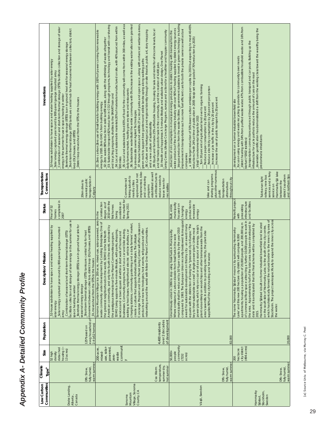| Communities<br>Low Carbon | Climate<br>Type <sup>a</sup>                           | Size<br>52 high                                                               | Population                                                  | water heating supplied by<br>lission<br>Description/ M<br>52-house subdivision to have space and                                                                                                                                                                                                                                                                                                                                                                                                                                                                                                                                                                                                                                                                                                                                                                                                                                                                                                       | Status<br>Final of 52                                                                                                            | Transportation<br>Connections                                                                                                                                                                                                   | 52-house subdivision to have space and water heating supplied by solar energy<br>Innovations                                                                                                                                                                                                                                                                                                                                                                                                                                                                                                                                                                                                                                                                                                                                                                                                                                                                                                                                                                                                                                                                                                                                                                                                                                                                                                                                                                                                                                                                                                                                                             |
|---------------------------|--------------------------------------------------------|-------------------------------------------------------------------------------|-------------------------------------------------------------|--------------------------------------------------------------------------------------------------------------------------------------------------------------------------------------------------------------------------------------------------------------------------------------------------------------------------------------------------------------------------------------------------------------------------------------------------------------------------------------------------------------------------------------------------------------------------------------------------------------------------------------------------------------------------------------------------------------------------------------------------------------------------------------------------------------------------------------------------------------------------------------------------------------------------------------------------------------------------------------------------------|----------------------------------------------------------------------------------------------------------------------------------|---------------------------------------------------------------------------------------------------------------------------------------------------------------------------------------------------------------------------------|----------------------------------------------------------------------------------------------------------------------------------------------------------------------------------------------------------------------------------------------------------------------------------------------------------------------------------------------------------------------------------------------------------------------------------------------------------------------------------------------------------------------------------------------------------------------------------------------------------------------------------------------------------------------------------------------------------------------------------------------------------------------------------------------------------------------------------------------------------------------------------------------------------------------------------------------------------------------------------------------------------------------------------------------------------------------------------------------------------------------------------------------------------------------------------------------------------------------------------------------------------------------------------------------------------------------------------------------------------------------------------------------------------------------------------------------------------------------------------------------------------------------------------------------------------------------------------------------------------------------------------------------------------|
| Drake Landing,            | warm summer<br>fully humid<br>Dfb: Snow                | detached<br>housing (~<br>13 acres)<br>density                                | σf<br>awg household<br>$2.4$ ( $x52$ homes)<br>125*based on | facilitate collection and storage of solar energy in the summer for use in<br>is an in-ground heat sink for<br>movement between collectors, district loop (DL)/houses, and (BTES)<br>Solar energy captured year round by 800-panel garage mounted<br>Short-term thermal storage (STTS) tanks are central hub for heat<br>Combination of seasonal and short-term thermal storage (STIS)<br>DL moves heat from the STTS to the houses<br>Borehole thermal energy storage (BTES)<br>seasonal energy storage<br>space heating in winter<br>solar energy<br>array                                                                                                                                                                                                                                                                                                                                                                                                                                           | completed in<br>homes<br>2007                                                                                                    | transportation in<br>nearest public<br>20km drive to<br>Calgary                                                                                                                                                                 | Combination of seasonal and short-term thermal storage (STIS) facilitate collection and storage of solar<br>Short-term thermal storage (SITS) tanks are central hub for heat movement between collectors, distict<br>Borehole thermal energy storage (BTES) is an in-ground heat sink for seasonal energy storage<br>Solar energy captured year round by 800-panel garage mounted array<br>energy in the summer for use in space heating in winter<br>District loop moves heat from the STTS to the houses<br>loop (DL)/houses, and (BTES)                                                                                                                                                                                                                                                                                                                                                                                                                                                                                                                                                                                                                                                                                                                                                                                                                                                                                                                                                                                                                                                                                                               |
| Village, Sonoma           | temperature,<br>summer dry.<br>hot summer<br>Csa: Warm | communit<br>use, solar-<br>powered<br>$200-a$ cre<br>mixed-<br>waste<br>zero- | over 2 decades<br>of development<br>4,400 residents         | Sonoma Mountain Village is a 200-acre, mixed-use, solar-powered, zero-<br>waste community under development by Codding Enterprises. One of<br>Concierge Program and One Planet Living Center will offer classes on<br>and a daily farmers' market<br>American community, and only the fourth in the world, endorsed by<br>networking around the world with fellow One Planet Communities.<br>products and new technologies, host events, sell goods and offer<br>businesses. Community programs, such as a car and bike sharing<br>SOMO Living supports a five-minute lifestyle, with parks, shopping<br>walking school buses, neighborhood electric vehicle shuttles, car<br>SOMO is the first North<br>services and a town square all within a short walk of homes and<br>the prestigious international One Planet Communities program.<br>create a culture that supports individual lifestyles. The Lifestyle<br>the greenest neighborhoods in the world,<br>charging stations, community gardening | the market for<br>2010 with the<br>available on<br>construction<br>stages as of<br>Spring 2011<br>first homes<br>being<br>In the | implemented, bike-<br>as infrastructure to<br>established as well<br>approved but not<br>reduce needs to<br>linking suburb to<br>and car-sharing<br>leave town for<br>Commuter rail<br>nearby cities<br>necessities<br>programs | 05: Local and sustainable food:65% of food for the community will come from within 300 miles, as well as a<br>06: Sustainable water Build the entire community with 0% increase in the existing water allocation granted<br>.07: Natural habitats and wildlife:27 acres of parks and open space, along with enhanced wetlands areas<br>03: Sustainable transport:82% reduction in CO2 through programs, technology and transit with car sharing<br>04: Local and sustainable materials:20% of materials manufactured on site, with 40% sourced from within<br>09: Equity and fair trade:25% affordable housing, housing for sale and rental for all income levels, local<br>08: Culture and heritage:Local and regional identity through on-site theatre, public art, story mapping<br>.01: Zero carbon:Zero use of fossil fuels for building energy with 100% of power coming from renewable<br>iving Center, Lifestyle Concierge Program, surveys and actions for a healthier and happier community.<br>02: Zero waste:98% reduction in solid landfill waste, along with the rethinking of waste altogether<br>10: Health and happiness: A 5-minute lifestyle and walkable urban design, One Planet<br>green roofs to support bee gardens and edible landscaping along walking paths<br>and fair trade goods for sale in the community, and the creation of 4,400 jobs<br>daily farmers market, healthy grocery store and restaurants<br>and bicycling programs, shuttles to the SMART train and<br>energy by 2020. Zero GHG's from building energy<br>to previous site owner Agilent Technologies<br>and a new culture of sustainability<br>500 miles |
| Växjö, Sweden             | warm summer<br>fully humid<br>Dfb: Snow,               | community<br>people<br>$50,000 +$<br>acres)<br>(7232)                         | 82,000                                                      | compared to 1993. The European Union recently bestowed its inaugural<br>award for sustainable development on this tiny city - an award many<br>equate with the distinction of being the "greenest city in Europe." The<br>power plants, which rely on coal or oil as a source of energy, Vaxjo's<br>plant runs entirely on woodchips and other biomass waste from the<br>municipality shall be reduced by 50 % per capita by the year 2010<br>key to their sustainable success? A single power plant. Unlike most<br>Unanimously voted in 1996 to stop using fossil fuels in Municipality.<br>area's sawmills. In addition to providing electricity, the plant also<br>Where emissions of carbon dioxide from fossil fuels in the wole<br>water.<br>supplies 90% of the city's heating and hot                                                                                                                                                                                                         | production to<br>municipality<br>focused on<br>Built, entire<br>renweable<br>changing<br>energy<br>energy                        | plus other numerous<br>sharing programs<br>throughout city<br>transportation<br>bike and car-<br>alternatives<br>public                                                                                                         | biogas production from the waste facilities _government subsidies to invest in green technology: including<br>a 1996 target reduction of 50% lower carbon emissions per capita by 2010 but expecting to meet 40-45%<br>waste products of the local forestry industry with over 90% of heating supplied by district energy sources<br>improvement in transportation such as more fuel efficient cars for both the private owner as well as taxi<br>reduction of oil consumption in municipal energy production to district heating with biomass from the<br>eductions ("with 24% at time of publication in 2005 Vaxjo set new goals of 70% reduction by 2025)<br>Turn 30 percent of agricultural land over to organic farming<br>Reduce electricity consumption by 20 percent per person<br>Increase the use of public transport by 20 percent<br>Increase cycle traffic in the city by 20 percent<br>Reduce paper consumption by 20 percent<br>Vaxjo's environmental targets for 2015<br>companies                                                                                                                                                                                                                                                                                                                                                                                                                                                                                                                                                                                                                                                       |
|                           | warm summer<br>fully humid,<br>Dfb: Snow,              | $(494 \text{ acres})$<br>city district<br>hectacre<br>200                     | 20,000                                                      | border to the inner city area of<br>to expand the inner city across<br>of commercial floor space attracting a further 10,000 people to work in<br>the area. Approximately half of the total area has been developed to<br>apartments, housing a population of 20,000 people, and 200,000 sq m<br>Hammarby Sjöstad is built on former industrial brownfield land located<br>date and it is anticipated that the final scheme will be completed by<br>on the south side of Hammarby Lake, to the south of the city centre,<br>The name 'Hammarby Sjöstad' means 'city surrounding Hammarby<br>Lake' and this new 200 hectare city district will comprise 9,000<br>Stockholm. The project seeks specifically<br>which has historically formed the natural<br>the water.<br>2015.                                                                                                                                                                                                                          | Retrofit project<br>infrastructure<br>and facilities<br>preexisting<br>with                                                      | Hammarby Sjö lake<br>services and a ferry<br>district's southern<br>and northern tips<br>railway, new bus<br>Ivärbanan light<br>between the<br>service on                                                                       | district heating with 34% from purified waste water, 47% from combustible houshold waste and 16% from<br>downside: gentification has demonstrated a shift from the working class toward the wealthy being the<br>transportation connections enhanced through public transport and car pools. Building up the<br>focus on using energy and waste recycling to provide for community's own needs<br>infrastructure for cycle paths to reduce the amount of cars on the road<br>development on a former industrial brownfield site<br>predominate inhabitants<br>biofuel (*2002 statistics)                                                                                                                                                                                                                                                                                                                                                                                                                                                                                                                                                                                                                                                                                                                                                                                                                                                                                                                                                                                                                                                                 |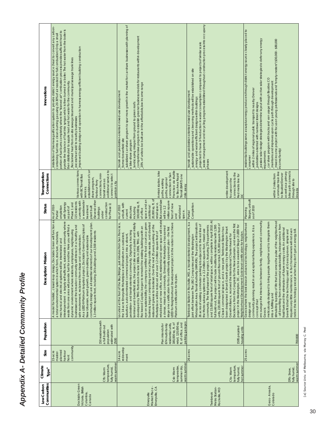| Communities<br>Low Carbon                                  | Climate<br>Type <sup>a</sup>                            | Size                                                           | Population                                                                                                                                      | Mission<br>Description/                                                                                                                                                                                                                                                                                                                                                                                                                                                                                                                                                                                                                                                                                                                                                                                                                                                                                                                                                                                                                                                                                                                          | Status                                                                                                                                                                                                                                                                  | Transportation<br>Connections                                                                                                                                                                                              | Innovations                                                                                                                                                                                                                                                                                                                                                                                                                                                                                                                                                                                                                                                                                                                             |
|------------------------------------------------------------|---------------------------------------------------------|----------------------------------------------------------------|-------------------------------------------------------------------------------------------------------------------------------------------------|--------------------------------------------------------------------------------------------------------------------------------------------------------------------------------------------------------------------------------------------------------------------------------------------------------------------------------------------------------------------------------------------------------------------------------------------------------------------------------------------------------------------------------------------------------------------------------------------------------------------------------------------------------------------------------------------------------------------------------------------------------------------------------------------------------------------------------------------------------------------------------------------------------------------------------------------------------------------------------------------------------------------------------------------------------------------------------------------------------------------------------------------------|-------------------------------------------------------------------------------------------------------------------------------------------------------------------------------------------------------------------------------------------------------------------------|----------------------------------------------------------------------------------------------------------------------------------------------------------------------------------------------------------------------------|-----------------------------------------------------------------------------------------------------------------------------------------------------------------------------------------------------------------------------------------------------------------------------------------------------------------------------------------------------------------------------------------------------------------------------------------------------------------------------------------------------------------------------------------------------------------------------------------------------------------------------------------------------------------------------------------------------------------------------------------|
| Dockside Green<br>Victoria, British<br>Columbia,<br>Canada | warm summer<br>temperature,<br>Cfb: Warm<br>fully humid | community<br>planned<br>harbour<br>15-acre<br>master-<br>front | 150 residents with<br>estimated with<br>a full build-out<br>population<br>2500                                                                  | Dockside Green will function as<br>interdependent - a largely self-sufficient, sustainable community where<br>community design are all essential elements of our development plan.<br>waste from one area will provide fuel for another. Here you will find a<br>businesses and the broader community will interact in a healthy and<br>As a LEED® Platinum targeted project, Dockside Green's principles of<br>employees, neighbouring<br>1.3 million square feet, including 26 buildings and 2,500 residents<br>a total environmental system in which form, structure, materials<br>safe environment, reclaimed from disuse and contamination.<br>New Urbanism, smart growth, green building and sustainable<br>mechanical and electrical systems will be interrelated and<br>A model for holistic, closed-loop design,<br>dynamic environment where residents,                                                                                                                                                                                                                                                                                | (Several other<br>a wastewater<br>currently with<br>115 residents<br>Phase 1 and<br>construction<br>with Synergy<br>for Phase 1)<br>ompletion<br>As of 2010<br>treatment<br>plant built<br>as part of<br>buildings<br>Partial<br>under                                  | additional service to<br>Various connections<br>establishment of car<br>connections, mini-<br>with BCTransit Bus<br>connect to select<br>share program,<br>transit vans as<br>Harbour Ferry<br>points in city<br>services, | _installation of biomass gasification system to provide district energy source (heat to convert any carbon-<br>containing fuel into a clean-burning gas using 20-30% of air needed for full combustion) Only a small<br>pyrolize the balance of fuel into syngas which is then burned in a boiler. The hot water from the boiler is<br>portion of fuel burns completely where the "starved air" combustion process provides sufficient heat to<br>improved building design and operation to harness energy-efficient building construction<br>Reclaimed heat from on-site sewage treament and municipal sewage trunk lines<br>then distributed to supple heat and hot water for the community<br>_excess heat sold to nearby businesses |
| Emeryville, CA<br>Market Place<br>Emeryville               | warm summer<br>temperatire,<br>summer dry<br>Csb: Warm  | redevelop<br>14 acre<br>ment                                   | parking garages<br>retail, 120,000 sq<br>ft. of office, and<br>180,000 sq. ft. of<br>residential units,<br>674 multi-family<br>Plan intends for | rehabbed and new office, retail, residential and open space will create<br>eye on sustainability, the company certified the food court as a green<br>business, began composting and recycling onsite waste, and diverted<br>stage one certification for its conditionally approved plan - the first<br>LEED for Neighborhood Development project in the nation to achieve<br>Located at the foot of the Bay Bridge, just minutes from San Francisco,<br>terminal and brownfield site, the project site was acquired and initially<br>restaurant grease to biodiesel. Over the next 25 years, parking at the<br>a dense, mixed-use community. Emeryville Marketplace has earned<br>Rockwood Capital, began to remodel the existing buildings with an<br>pedestrian- and transit-oriented community. Originally a trucking<br>1980s. In 2006, TMG, with<br>1.2 million square feet of<br>transform an outdated,<br>suburban, auto-dominated commercial project into a vibrant,<br>developed by TMG Partners in the late<br>the 14-acre Emeryville Marketplace will<br>Marketplace will be reduced and over<br>Platinum certification for its plan. | But overall size<br>20,000 sq. ft. of<br>space and an<br>million square<br>¢<br>retail space.<br>unbuilt, with<br>feet of new<br>100,000 sq.<br>As of 2010<br>will be 1.2<br>rehabbed<br>additional<br>structures<br>including<br>of office<br>current<br>space.<br>and | Francisco via shuttle<br>Amtrak station, bike<br>connection to San<br>to Bay Area Rapid<br>Transit (BART) one<br>paths, regional<br>paths, walking<br>mile away                                                            | subsidized car-share program to spur more growth in the market for car-share businesses with planning of<br>comprehensive program to establish greener business models for restaurants within development.<br>20% of units to be built are in the affordable,low income range<br>transit- and pedestrian-oriented mixed-use development<br>landscaping integral from ground to green roofs<br>former brownfield site<br>a bike-share program                                                                                                                                                                                                                                                                                            |
| Metro Station-<br>Rockville, MD<br>Twinbrook               | termparture,<br>hot summe<br>Cfa: Warm<br>fully humid   | 26 acres                                                       | 1595 projeted<br>housing untis                                                                                                                  | and 15,000 square feet of retail space, will be complete in April 2010. At<br>Twinbrook Station in Rockville, MD, a transit-oriented development, is a<br>Metropolitan Area Transit Authority (WMATA). The project will transform<br>Excellence from the Congress for the New Urbanism, and was the first<br>units, 220,000 square feet of ground-floor retail, 325,000 square feet of<br>26 acres of existing commuter parking lots adjacent to the red line of<br>full build-out, the project will include multifamily residential with 1,595<br>community. The first phases of the project, featuring 279 apartments<br>project in the Washington, DC, area to be awarded Stage 2 LEED for<br>been designated a Smart Growth project by the Washington Smart<br>Class-A commercial space, and a new park. Twinbrook Station has<br>the Metro subway system into a 2.2-million-square-foot, mixed-use<br>Neighborhood Development Gold-level certification for its plan<br>Growth Alliance, received the International Charter Award for<br>joint effort between The JBG Companies and the Washington                                          | Completion<br>Partial                                                                                                                                                                                                                                                   | entire development<br>connections to the<br>Red metro line for<br>focuses on the<br><b>DC</b>                                                                                                                              | waste management and recycling programs established throughout construction process into occupany<br>projected to have 3-% reduction in water consumption compared to projects of similar scale<br>sustainable operations and cleeaning methods will be established on site<br>transit- and pedestrian-oriented mixed-use development<br>energy- and water-efficitent designs within buildings<br>phases                                                                                                                                                                                                                                                                                                                                |
| Geos - Arvada,<br>Colorado                                 | warm summer<br>fully humid<br>Dfb: Snow,                | 25 acres                                                       | 700-800                                                                                                                                         | stimulating tapestry of life that becomes the pulse of the neighborhood<br>encourages the interaction between family, neighbors and community<br>meticulously designed to bring people together and to integrate them<br>Geos is where the best ideas in advanced technology, neighborhood<br>- all benefiting from environmental sustainability, independence from<br>community planning result in an exceptional living experience. It is a<br>fossil fuels and the elimination of future energy costs. An additional<br>requires very little maintenance. In fact homeowners will not even<br>benefit is that the technology used at Geos is proven, simple and<br>notice the technology except when they don't get an energy bill<br>into a fulfilling and<br>concept that<br>design and<br>Geos is                                                                                                                                                                                                                                                                                                                                          | Stages, unbuilt<br>as of 2010<br>Planning                                                                                                                                                                                                                               | commuter train line<br>bike path connects<br>as well as a primary<br>to Boulder/Denver<br>within 2 miles from<br>through site to<br>Arvada                                                                                 | residential buildings serve as surplus energy producers through district energy source closely placed to<br>passive solar design strategies determine layout with active solar strategies to defer any energy<br>mixed income project with focus on young professionals and "empty-nesters" (\$30,000 - \$80,000<br>car share program with trucks and van usage through Boulder, CO<br>maintains and improves upon cycle path through development<br>within 2 miles of regional public transport to nearby Denver<br>pedestrian-oriented with narrower street designs<br>income/family)<br>requirements<br>consumer                                                                                                                     |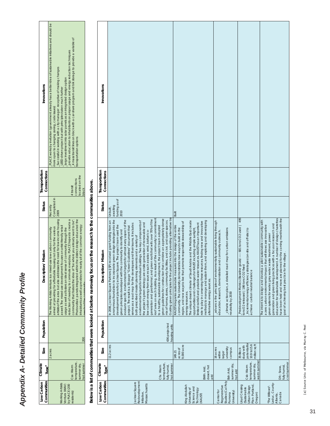| Innovations                                           | PLACE works by invitation (government already has a better idea of sustainable initiatives and should be<br>4 mass transit lines on block with a car-share program and bik storage to provide a variable of<br>provide education to inhabitants on proper usage and energy reduction techniques<br>Successful in working with a city manager receptive of making changes.<br>large investment into solar panels as an integrated design option<br>LEED-driven project but with principles taken much further<br>more open to changing zoning, code issues)<br>ransportation options                                                                                                        |
|-------------------------------------------------------|--------------------------------------------------------------------------------------------------------------------------------------------------------------------------------------------------------------------------------------------------------------------------------------------------------------------------------------------------------------------------------------------------------------------------------------------------------------------------------------------------------------------------------------------------------------------------------------------------------------------------------------------------------------------------------------------|
| Transportation<br>Connections                         | located on the<br>connections<br>4 transit<br>block                                                                                                                                                                                                                                                                                                                                                                                                                                                                                                                                                                                                                                        |
| <b>Status</b>                                         | Completed in<br>Recently                                                                                                                                                                                                                                                                                                                                                                                                                                                                                                                                                                                                                                                                   |
| Mission<br>Description/                               | artsists of the area but also addresses the need for low-income housing  2009<br>reduction of needing to commute everyday. PLACE hopes to create a<br>Photovoltaic panels integrated within the distinct design educated the<br>The Working Artists Ventura is a mixed-use low-carbon community<br>community that fosters the idea of "be where you already want to be"<br>aimed at providing for affordable housing not only for the various<br>inhabitants as well as provides for nearly all of the common energy<br>as well. The mixed-use development focuses on artist-friendly retail<br>usage as well as fosters an ideal sense of community through the<br>needs of the community |
| Population                                            |                                                                                                                                                                                                                                                                                                                                                                                                                                                                                                                                                                                                                                                                                            |
| Size                                                  | 2 acres                                                                                                                                                                                                                                                                                                                                                                                                                                                                                                                                                                                                                                                                                    |
|                                                       | emperature,<br>summer dry,<br>hot summer<br>Csa: Warm                                                                                                                                                                                                                                                                                                                                                                                                                                                                                                                                                                                                                                      |
| ow Carbon   Climate<br>Communities  Type <sup>a</sup> | <b>Jorking Artsists</b><br>(entura (WAV)<br>by PLACE (200<br>residents)                                                                                                                                                                                                                                                                                                                                                                                                                                                                                                                                                                                                                    |

## **Below is a list of communities that were looked at before narrowing focus on the research to the communities above.** J,  $\frac{9}{11}$  $\ddot{=}$ ي<br>م ŧ  $\overline{1}$ J, j ÷, J.  $\frac{d}{dt}$ J,  $\overline{\phantom{a}}$  $\cdot$ Ralo

|                                                                                   |                                                         |                                                                         |                                | Below is a list of communities that were looked at berore harrowing focus on the research to the communities above                                                                                                                                                                                                                                                                                                                                                                                                                                                                                                                                                                                                                                                                                                                                                                                                                                                                                                                                                                                                                                                                                                                                   |                                               |                               |             |
|-----------------------------------------------------------------------------------|---------------------------------------------------------|-------------------------------------------------------------------------|--------------------------------|------------------------------------------------------------------------------------------------------------------------------------------------------------------------------------------------------------------------------------------------------------------------------------------------------------------------------------------------------------------------------------------------------------------------------------------------------------------------------------------------------------------------------------------------------------------------------------------------------------------------------------------------------------------------------------------------------------------------------------------------------------------------------------------------------------------------------------------------------------------------------------------------------------------------------------------------------------------------------------------------------------------------------------------------------------------------------------------------------------------------------------------------------------------------------------------------------------------------------------------------------|-----------------------------------------------|-------------------------------|-------------|
| Communities<br>Low Carbon                                                         | Climate<br>Type <sup>a</sup>                            | Size                                                                    | Population                     | Mission<br>Description/                                                                                                                                                                                                                                                                                                                                                                                                                                                                                                                                                                                                                                                                                                                                                                                                                                                                                                                                                                                                                                                                                                                                                                                                                              | Status                                        | Transportation<br>Connections | Innovations |
| Redevelopment<br>Jackson Square<br>Massachusetts<br>Initiative,                   | termparture,<br>hot summer<br>Cfa: Warm<br>fully humid, | $11.2$ acres                                                            | 436 projected<br>housing units | include providing alternative tra<br>green guidelines for construction that combine an appropriately dense<br>anonymous foundation to incorporate green design strategies into the<br>roof area on each building. As a result of the community's commitment<br>generation and geothermal, and green roofs that will cover 70% of the<br>evaluate specific environmental targets for almost every aspect of the<br>In 2006, Jackson Square Partners (JSP) received grant funding from an<br>environmental targets for individual buildings. Two key components of<br>mix of homes, stores, community facilities, and civic and open spaces.<br>the project's green strategy are onsite generation of renewable and<br>serves as a road map for the developers and their teams. It includes<br>development plans for Jackson Square. The project team used the<br>the project team adopted<br>project. The result is a 50-page "Green Guidelines" document that<br>green principles developed with the community to identify and<br>low-carbon energy from sources such as solar, wind, biofuel co-<br>both prescribed master planning elements and a variety of<br>Guiding green principles for the project<br>to a healthy, sustainable development, | funding as of<br>awaiting<br>Unbuilt,<br>2010 |                               |             |
| King Abdullah<br>Science and<br>University of<br>Technology<br>(KAUST)            | desert, hot<br>BWh: Arid<br>arid                        | 9,000 acre<br>acres of<br>149.21                                        |                                | The unique desert climate of Saudi Arabia and the Middle East create<br>and exploring and developing<br>role to play in conserving these resources, finding new and innovative<br>region, and new ways to live that promote responsible stewardship of<br>limited rainfall and potable water resources. KAUST has an important<br>nto the design of the entire<br>community. The University demonstrates new ways to build in the<br>including ample sunlight,<br>KAUST integrates sustainable measures i<br>opportunities and challenges for KAUST,<br>methods to manage and sustain them,<br>alternative energy sources.<br>energy resources.                                                                                                                                                                                                                                                                                                                                                                                                                                                                                                                                                                                                      | <b>Built</b>                                  |                               |             |
| Studies (Cal Poly<br>Regenerative<br>Center for<br>University)<br>Pomona          | summer dry,<br>Bsh: Arid,<br>hot arid                   | university<br>16 acres<br>campus<br>within<br>larger                    |                                | advance the principles of environmentally sustainable living through<br>climate action plan, a detailed road map for carbon emissions<br>education, research, demonstration and community outreach.<br>neutrality by 2030                                                                                                                                                                                                                                                                                                                                                                                                                                                                                                                                                                                                                                                                                                                                                                                                                                                                                                                                                                                                                            |                                               |                               |             |
| Lloyd Crossing<br>Plan-Portland<br><b>Urban Design</b><br>(Sustainable<br>Oregon) | warm summe<br>temperature,<br>summer dry,<br>Csb: Warm  | potentialfor<br>10.9 to 15.6<br>million sq ft<br>study with<br>35-Block |                                | Predevelopment Metrics (Baseline goals) ---- 681 tons CO2 used   495<br>Incremental energy efficiency strategies (on-site and off-site) to<br>tons O2 released   186 tons CO2 fixed<br>achieve carbon neutral balance                                                                                                                                                                                                                                                                                                                                                                                                                                                                                                                                                                                                                                                                                                                                                                                                                                                                                                                                                                                                                                |                                               |                               |             |
| Leduc, County-<br>"The Willows"-<br>Canada<br>Alberta                             | cool summer<br>fully humid,<br>Dfc: Snow,               |                                                                         |                                | A number of design charrettes<br>for the coming months with the<br>The intent is to design and develop a pilot sustainable community with<br>generation and green living practices with a focus on research and<br>a zero carbon environmental impact that will showcase innovative<br>green systems for water, grey water, waste treatment, power<br>goal of achieving best practice for the village<br>education for sustainable development,<br>have been held and more are planned                                                                                                                                                                                                                                                                                                                                                                                                                                                                                                                                                                                                                                                                                                                                                               |                                               |                               |             |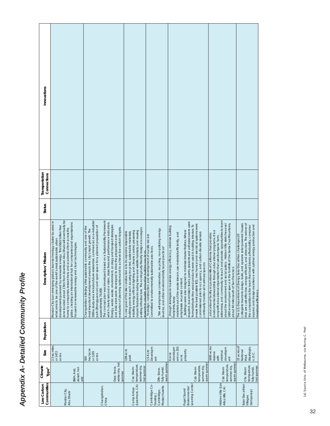| Communities<br>Low Carbon                               | Climate<br>Type <sup>a</sup>                            | Size                                                                   | Population | Mission<br>Description/                                                                                                                                                                                                                                                                                                                                                                                                                                                                                                                                                                                                                                                    | Status | Transportation<br>Connections | Innovations |
|---------------------------------------------------------|---------------------------------------------------------|------------------------------------------------------------------------|------------|----------------------------------------------------------------------------------------------------------------------------------------------------------------------------------------------------------------------------------------------------------------------------------------------------------------------------------------------------------------------------------------------------------------------------------------------------------------------------------------------------------------------------------------------------------------------------------------------------------------------------------------------------------------------------|--------|-------------------------------|-------------|
| Masdar City,<br>Abu Dhabi                               | desert, hot<br>BWh: Arid,<br>arid                       | 2.3 sq miles<br>or 1472<br>acres                                       |            | zone located about 17km from downtown Abu Dhabi will eventually be<br>Masdar City is an emerging global clean-technology cluster located in<br>globe, creating an international hub for companies and organisations<br>developments powered by renewable energy. This US\$22 billion free<br>home to companies, researchers, and academics from across the<br>what aims to be one of the world's most sustainable urban<br>focused on renewable energy and clean technologies.                                                                                                                                                                                             |        |                               |             |
| Changxindian,<br>China                                  | winter dry, hot<br>Dwa: Snow,<br>summer                 | hectacre<br>or 1235<br>acres<br>500                                    |            | The concept plan was developed based on a Sustainability Framework<br>500ha study area includes future residential, commercial, eco-industrial<br>which clearly sets out a vision, objectives and performance indicators.<br>park (Zhongguancun) and open space for a planned population of<br>Energy, water, waste, environment, ecology and transport strategies<br>Changxindian is Beijing's first sustainable community and one of the<br>evaluation of planning options and to achieve low carbon targets.<br>most important development areas in the city's rapid growth. The<br>and indicators were developed to drive the preparation and<br>approximately 70,000. |        |                               |             |
| (Livermore, CA)<br>Camp Arroyo                          | temperature,<br>summer dry,<br>hot summer<br>Csa: Warm  | 138-acre<br>park                                                       |            | existing infrastructure. The ecologically friendly design encourages<br>natural features including trees and wildlife habitats; and reusing<br>installing energy efficient lighting and climate control; preserving<br>A core goal of the site construction is to incorporate responsible<br>building practices such as using recycled, sustainable materials;<br>students to visualize innovative building practices                                                                                                                                                                                                                                                      |        |                               |             |
| Cambridge Co-<br>Massachusetts<br>Cambridge,<br>housing | warm summer<br>fully humid<br>Dfb: Snow                 | Developm<br>1.5 Acre<br>$\overline{5}$                                 |            | "We will emphasize conservation, recycling, non-polluting energy<br>In design, construction, and development of our site we are<br>committed to environmentally sustainable practices.<br>sources, and other environmentally sound practices"                                                                                                                                                                                                                                                                                                                                                                                                                              |        |                               |             |
| Learning Center<br>Environmental<br>Puget Sound         | warm summer<br>temperatire,<br>summer dry,<br>Csb: Warm | developm<br>ent on 255<br>property<br>6 acre<br>acre                   |            | required, low-emission stains, paints, sealants and adhesives were used.<br>ensure the best possible IEQ, mechanical and electrical systems were<br>Formaldehyde-free wood products were used in building interiors. To<br>efficiency, minimize building<br>Buildings were also designed to minimize interior finishes. Where<br>commissioned prior to occupancy, and carbon dioxide sensors<br>materials out of the waste stream, use materials efficiently, and<br>continually monitor air in primary spaces.<br>_through strategies to maximize energy<br>emphasize recycled content<br>footprints, keep                                                                |        |                               |             |
| Hidden Villa (Los<br>Altos Hills, CA)                   | warm summer<br>temperature,<br>summer dry,<br>Csb: Warm | 1600 acres<br>developm<br>minimal<br>reserve<br>with<br>$\overline{5}$ |            | wilderness, and community to teach and provide opportunities to learn<br>about the environment and social justice. Hidden Villa stretches over<br>1600 acres of open space in the foothills of the Santa Cruz Mountains,<br>environmental stewardship through educational programs. It is a<br>educational facility in Los Altos Hills of California that provides<br>nonprofit educational organization that uses its organic farm,<br>about 40 miles south of San Francisco                                                                                                                                                                                              |        |                               |             |
| Solar Decathlon<br>(temporary)<br>Villages              | termparture,<br>fully humid,<br>hot summer<br>Cfa: Warm | 15 acres of<br>Nashingto<br>Vational<br>n, D.C.<br>Mall,               |            | collegiate teams to design, build, and operate solar-powered houses<br>and attractive. The winner of<br>appeal, and design excellence with optimal energy production and<br>the competition is the team that best blends affordability, consumer<br>The U.S. Department of Energy Solar Decathlon challenges 20<br>that are cost-effective, energy-efficient,<br>maximum efficiency                                                                                                                                                                                                                                                                                        |        |                               |             |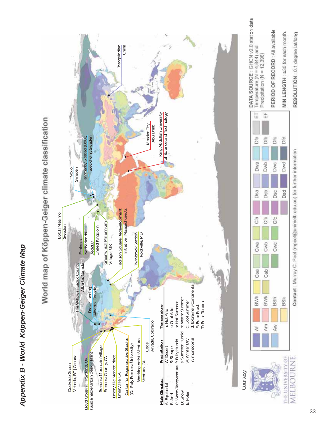# Appendix B - World Köppen-Geiger Climate Map *Appendix B - World Köppen-Geiger Climate Map*



# World map of Köppen-Geiger climate classification

MIN LENGTH : 230 for each month.

Dfd

Dwd

D<sub>Sd</sub>

**BSk** 

THE UNIVERSITY OF MELBOURNE

Contact : Murray C. Peel (mpeel@unimelb.edu.au) for further information

RESOLUTION : 0.1 degree lat/long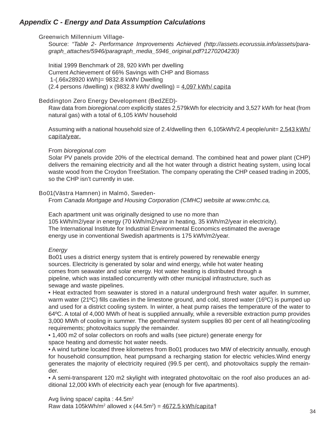## *Appendix C - Energy and Data Assumption Calculations*

## **Greenwich Millennium Village**-

Source: *"Table 2- Performance Improvements Achieved (http://assets.ecorussia.info/assets/paragraph\_attaches/5946/paragraph\_media\_5946\_original.pdf?1270204230)*

Initial 1999 Benchmark of 28, 920 kWh per dwelling Current Achievement of 66% Savings with CHP and Biomass 1-(.66x28920 kWh)= 9832.8 kWh/ Dwelling (2.4 persons /dwelling) x (9832.8 kWh/ dwelling) = **4,097 kWh/ capita**

## **Beddington Zero Energy Development (BedZED)-**

Raw data from *bioregional.com* explicitly states 2,579kWh for electricity and 3,527 kWh for heat (from natural gas) with a total of 6,105 kWh/ household

Assuming with a national household size of 2.4/dwelling then 6,105kWh/2.4 people/unit= **2,543 kWh/ capita/year.**

## From *bioregional.com*

Solar PV panels provide 20% of the electrical demand. The combined heat and power plant (CHP) delivers the remaining electricity and all the hot water through a district heating system, using local waste wood from the Croydon TreeStation. The company operating the CHP ceased trading in 2005, so the CHP isn't currently in use.

## **Bo01(Västra Hamnen) in Malmö, Sweden-**

From *Canada Mortgage and Housing Corporation (CMHC) website at www.cmhc.ca,*

Each apartment unit was originally designed to use no more than 105 kWh/m2/year in energy (70 kWh/m2/year in heating, 35 kWh/m2/year in electricity). The International Institute for Industrial Environmental Economics estimated the average energy use in conventional Swedish apartments is 175 kWh/m2/year.

## *Energy*

Bo01 uses a district energy system that is entirely powered by renewable energy sources. Electricity is generated by solar and wind energy, while hot water heating comes from seawater and solar energy. Hot water heating is distributed through a pipeline, which was installed concurrently with other municipal infrastructure, such as sewage and waste pipelines.

• Heat extracted from seawater is stored in a natural underground fresh water aquifer. In summer, warm water (21 $^{\circ}$ C) fills cavities in the limestone ground, and cold, stored water (16 $^{\circ}$ C) is pumped up and used for a district cooling system. In winter, a heat pump raises the temperature of the water to 64ºC. A total of 4,000 MWh of heat is supplied annually, while a reversible extraction pump provides 3,000 MWh of cooling in summer. The geothermal system supplies 80 per cent of all heating/cooling requirements; photovoltaics supply the remainder.

• 1,400 m2 of solar collectors on roofs and walls (see picture) generate energy for space heating and domestic hot water needs.

• A wind turbine located three kilometres from Bo01 produces two MW of electricity annually, enough for household consumption, heat pumpsand a recharging station for electric vehicles.Wind energy generates the majority of electricity required (99.5 per cent), and photovoltaics supply the remainder.

• A semi-transparent 120 m2 skylight with integrated photovoltaic on the roof also produces an additional 12,000 kWh of electricity each year (enough for five apartments).

Avg living space/ capita :  $44.5m<sup>2</sup>$ Raw data 105kWh/m2 allowed x (44.5m2 ) = **4672.5 kWh/capita**†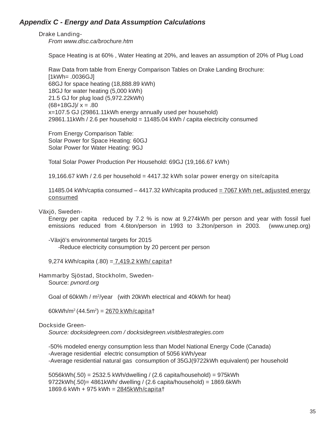## *Appendix C - Energy and Data Assumption Calculations*

## **Drake Landing**-

*From www.dlsc.ca/brochure.htm*

Space Heating is at 60% , Water Heating at 20%, and leaves an assumption of 20% of Plug Load

Raw Data from table from Energy Comparison Tables on Drake Landing Brochure: [1kWh= .0036GJ] 68GJ for space heating (18,888.89 kWh) 18GJ for water heating (5,000 kWh) 21.5 GJ for plug load (5,972.22kWh)  $(68+18G$ J $)/x = .80$ x=107.5 GJ (29861.11kWh energy annually used per household) 29861.11kWh / 2.6 per household = 11485.04 kWh / capita electricity consumed

From Energy Comparison Table: Solar Power for Space Heating: 60GJ Solar Power for Water Heating: 9GJ

Total Solar Power Production Per Household: 69GJ (**19,166.67 kWh**)

19,166.67 kWh / 2.6 per household = **4417.32 kWh solar power energy on site/capita**

11485.04 kWh/captia consumed – 4417.32 kWh/capita produced = **7067 kWh net, adjusted energy consumed**

## **Växjö, Sweden-**

Energy per capita reduced by 7.2 % is now at 9,274kWh per person and year with fossil fuel emissions reduced from 4.6ton/person in 1993 to 3.2ton/person in 2003. (www.unep.org)

-Växjö's environmental targets for 2015 -Reduce electricity consumption by 20 percent per person

9,274 kWh/capita (.80) = **7,419.2 kWh/ capita**†

## **Hammarby Sjöstad, Stockholm, Sweden-**

Source: *pvnord.org*

Goal of 60kWh / m<sup>2</sup>/year (with 20kWh electrical and 40kWh for heat)

60kWh/m2 (44.5m2 ) = **2670 kWh/capita**†

## **Dockside Green-**

*Source: docksidegreen.com / docksidegreen.visitblestrategies.com*

-50% modeled energy consumption less than Model National Energy Code (Canada) -Average residential electric consumption of 5056 kWh/year -Average residential natural gas consumption of 35GJ(9722kWh equivalent) per household

5056kWh(.50) = 2532.5 kWh/dwelling / (2.6 capita/household) = 975kWh 9722kWh(.50)= 4861kWh/ dwelling / (2.6 capita/household) = 1869.6kWh 1869.6 kWh + 975 kWh = **2845kWh/capita**†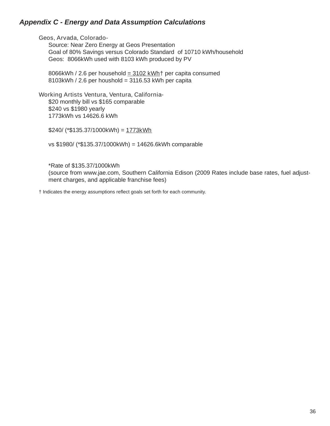## *Appendix C - Energy and Data Assumption Calculations*

## **Geos, Arvada, Colorado-**

Source: Near Zero Energy at Geos Presentation Goal of 80% Savings versus Colorado Standard of 10710 kWh/household Geos: 8066kWh used with 8103 kWh produced by PV

8066kWh / 2.6 per household **= 3102 kWh**† per capita consumed  $8103$ kWh / 2.6 per houshold = 3116.53 kWh per capita

## **Working Artists Ventura, Ventura, California-**

\$20 monthly bill vs \$165 comparable \$240 vs \$1980 yearly 1773kWh vs 14626.6 kWh

\$240/ (\*\$135.37/1000kWh) = **1773kWh**

vs \$1980/ (\*\$135.37/1000kWh) = 14626.6kWh comparable

\*Rate of \$135.37/1000kWh (source from www.jae.com, Southern California Edison (2009 Rates include base rates, fuel adjustment charges, and applicable franchise fees)

 $\dagger$  Indicates the energy assumptions reflect goals set forth for each community.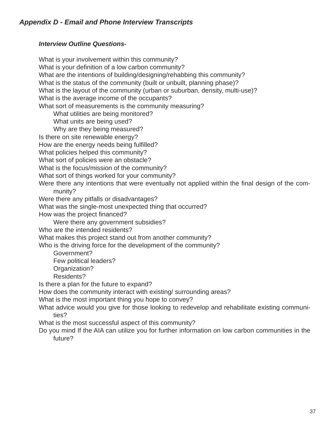## *Interview Outline Questions-*

What is your involvement within this community? What is your definition of a low carbon community? What are the intentions of building/designing/rehabbing this community? What is the status of the community (built or unbuilt, planning phase)? What is the layout of the community (urban or suburban, density, multi-use)? What is the average income of the occupants? What sort of measurements is the community measuring? What utilities are being monitored? What units are being used? Why are they being measured? Is there on site renewable energy? How are the energy needs being fulfilled? What policies helped this community? What sort of policies were an obstacle? What is the focus/mission of the community? What sort of things worked for your community? Were there any intentions that were eventually not applied within the final design of the community? Were there any pitfalls or disadvantages? What was the single-most unexpected thing that occurred? How was the project financed? Were there any government subsidies? Who are the intended residents? What makes this project stand out from another community? Who is the driving force for the development of the community? Government? Few political leaders? Organization? Residents? Is there a plan for the future to expand? How does the community interact with existing/ surrounding areas? What is the most important thing you hope to convey?

What advice would you give for those looking to redevelop and rehabilitate existing communities?

What is the most successful aspect of this community?

Do you mind If the AIA can utilize you for further information on low carbon communities in the future?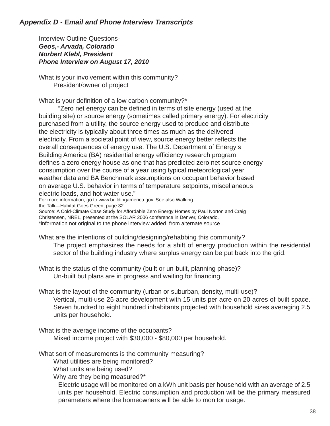Interview Outline Questions-*Geos,- Arvada, Colorado Norbert Klebl, President Phone Interview on August 17, 2010*

What is your involvement within this community? President/owner of project

What is your definition of a low carbon community? $*$ 

"Zero net energy can be defined in terms of site energy (used at the building site) or source energy (sometimes called primary energy). For electricity purchased from a utility, the source energy used to produce and distribute the electricity is typically about three times as much as the delivered electricity. From a societal point of view, source energy better reflects the overall consequences of energy use. The U.S. Department of Energy's Building America (BA) residential energy efficiency research program defines a zero energy house as one that has predicted zero net source energy consumption over the course of a year using typical meteorological year weather data and BA Benchmark assumptions on occupant behavior based on average U.S. behavior in terms of temperature setpoints, miscellaneous electric loads, and hot water use."

For more information, go to www.buildingamerica.gov. See also Walking the Talk—Habitat Goes Green, page 32.

Source: A Cold-Climate Case Study for Affordable Zero Energy Homes by Paul Norton and Craig Christensen, NREL, presented at the SOLAR 2006 conference in Denver, Colorado.

\*information not original to the phone interview added from alternate source

What are the intentions of building/designing/rehabbing this community?

 The project emphasizes the needs for a shift of energy production within the residential sector of the building industry where surplus energy can be put back into the grid.

What is the status of the community (built or un-built, planning phase)? Un-built but plans are in progress and waiting for financing.

What is the layout of the community (urban or suburban, density, multi-use)? Vertical, multi-use 25-acre development with 15 units per acre on 20 acres of built space. Seven hundred to eight hundred inhabitants projected with household sizes averaging 2.5 units per household.

What is the average income of the occupants? Mixed income project with \$30,000 - \$80,000 per household.

What sort of measurements is the community measuring?

What utilities are being monitored?

What units are being used?

Why are they being measured?\*

 Electric usage will be monitored on a kWh unit basis per household with an average of 2.5 units per household. Electric consumption and production will be the primary measured parameters where the homeowners will be able to monitor usage.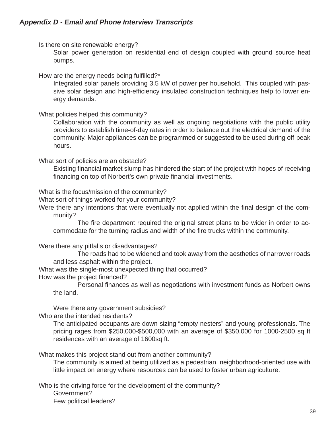Is there on site renewable energy?

 Solar power generation on residential end of design coupled with ground source heat pumps.

How are the energy needs being fulfilled?\*

 Integrated solar panels providing 3.5 kW of power per household. This coupled with passive solar design and high-efficiency insulated construction techniques help to lower energy demands.

What policies helped this community?

 Collaboration with the community as well as ongoing negotiations with the public utility providers to establish time-of-day rates in order to balance out the electrical demand of the community. Major appliances can be programmed or suggested to be used during off-peak hours.

What sort of policies are an obstacle?

Existing financial market slump has hindered the start of the project with hopes of receiving financing on top of Norbert's own private financial investments.

What is the focus/mission of the community?

What sort of things worked for your community?

Were there any intentions that were eventually not applied within the final design of the community?

The fire department required the original street plans to be wider in order to accommodate for the turning radius and width of the fire trucks within the community.

Were there any pitfalls or disadvantages?

 The roads had to be widened and took away from the aesthetics of narrower roads and less asphalt within the project.

What was the single-most unexpected thing that occurred?

How was the project financed?

Personal finances as well as negotiations with investment funds as Norbert owns the land.

Were there any government subsidies?

Who are the intended residents?

 The anticipated occupants are down-sizing "empty-nesters" and young professionals. The pricing rages from \$250,000-\$500,000 with an average of \$350,000 for 1000-2500 sq ft residences with an average of 1600sq ft.

What makes this project stand out from another community?

 The community is aimed at being utilized as a pedestrian, neighborhood-oriented use with little impact on energy where resources can be used to foster urban agriculture.

Who is the driving force for the development of the community? Government?

Few political leaders?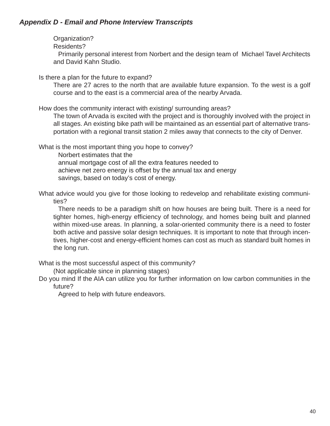Organization?

Residents?

 Primarily personal interest from Norbert and the design team of Michael Tavel Architects and David Kahn Studio.

Is there a plan for the future to expand?

 There are 27 acres to the north that are available future expansion. To the west is a golf course and to the east is a commercial area of the nearby Arvada.

How does the community interact with existing/ surrounding areas?

 The town of Arvada is excited with the project and is thoroughly involved with the project in all stages. An existing bike path will be maintained as an essential part of alternative transportation with a regional transit station 2 miles away that connects to the city of Denver.

What is the most important thing you hope to convey?

Norbert estimates that the annual mortgage cost of all the extra features needed to achieve net zero energy is offset by the annual tax and energy savings, based on today's cost of energy.

What advice would you give for those looking to redevelop and rehabilitate existing communities?

 There needs to be a paradigm shift on how houses are being built. There is a need for tighter homes, high-energy efficiency of technology, and homes being built and planned within mixed-use areas. In planning, a solar-oriented community there is a need to foster both active and passive solar design techniques. It is important to note that through incentives, higher-cost and energy-efficient homes can cost as much as standard built homes in the long run.

What is the most successful aspect of this community?

(Not applicable since in planning stages)

Do you mind If the AIA can utilize you for further information on low carbon communities in the future?

Agreed to help with future endeavors.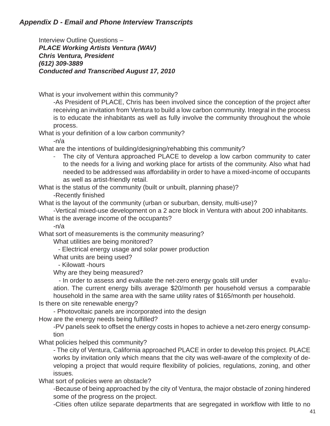Interview Outline Questions – *PLACE Working Artists Ventura (WAV) Chris Ventura, President (612) 309-3889 Conducted and Transcribed August 17, 2010*

What is your involvement within this community?

 -As President of PLACE, Chris has been involved since the conception of the project after receiving an invitation from Ventura to build a low carbon community. Integral in the process is to educate the inhabitants as well as fully involve the community throughout the whole process.

What is your definition of a low carbon community?

-n/a

What are the intentions of building/designing/rehabbing this community?

- The city of Ventura approached PLACE to develop a low carbon community to cater to the needs for a living and working place for artists of the community. Also what had needed to be addressed was affordability in order to have a mixed-income of occupants as well as artist-friendly retail.

What is the status of the community (built or unbuilt, planning phase)?

-Recently finished

What is the layout of the community (urban or suburban, density, multi-use)?

-Vertical mixed-use development on a 2 acre block in Ventura with about 200 inhabitants.

What is the average income of the occupants?

-n/a

What sort of measurements is the community measuring?

What utilities are being monitored?

- Electrical energy usage and solar power production

What units are being used?

- Kilowatt -hours

Why are they being measured?

- In order to assess and evaluate the net-zero energy goals still under evaluation. The current energy bills average \$20/month per household versus a comparable household in the same area with the same utility rates of \$165/month per household.

Is there on site renewable energy?

- Photovoltaic panels are incorporated into the design

How are the energy needs being fulfilled?

 -PV panels seek to offset the energy costs in hopes to achieve a net-zero energy consumption

What policies helped this community?

 - The city of Ventura, California approached PLACE in order to develop this project. PLACE works by invitation only which means that the city was well-aware of the complexity of developing a project that would require flexibility of policies, regulations, zoning, and other issues.

What sort of policies were an obstacle?

 -Because of being approached by the city of Ventura, the major obstacle of zoning hindered some of the progress on the project.

-Cities often utilize separate departments that are segregated in workflow with little to no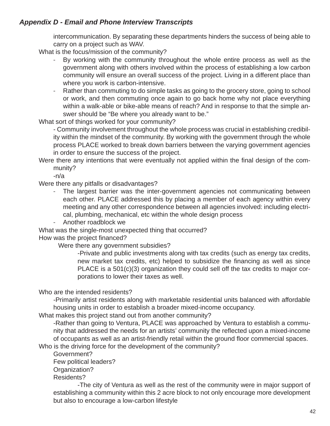intercommunication. By separating these departments hinders the success of being able to carry on a project such as WAV.

What is the focus/mission of the community?

- By working with the community throughout the whole entire process as well as the government along with others involved within the process of establishing a low carbon community will ensure an overall success of the project. Living in a different place than where you work is carbon-intensive.
- Rather than commuting to do simple tasks as going to the grocery store, going to school or work, and then commuting once again to go back home why not place everything within a walk-able or bike-able means of reach? And in response to that the simple answer should be "Be where you already want to be."

What sort of things worked for your community?

 - Community involvement throughout the whole process was crucial in establishing credibility within the mindset of the community. By working with the government through the whole process PLACE worked to break down barriers between the varying government agencies in order to ensure the success of the project.

Were there any intentions that were eventually not applied within the final design of the community?

-n/a

Were there any pitfalls or disadvantages?

- The largest barrier was the inter-government agencies not communicating between each other. PLACE addressed this by placing a member of each agency within every meeting and any other correspondence between all agencies involved: including electrical, plumbing, mechanical, etc within the whole design process

- Another roadblock we

What was the single-most unexpected thing that occurred?

How was the project financed?

Were there any government subsidies?

 -Private and public investments along with tax credits (such as energy tax credits, new market tax credits, etc) helped to subsidize the financing as well as since PLACE is a 501(c)(3) organization they could sell off the tax credits to major corporations to lower their taxes as well.

Who are the intended residents?

 -Primarily artist residents along with marketable residential units balanced with affordable housing units in order to establish a broader mixed-income occupancy.

What makes this project stand out from another community?

 -Rather than going to Ventura, PLACE was approached by Ventura to establish a community that addressed the needs for an artists' community the reflected upon a mixed-income of occupants as well as an artist-friendly retail within the ground floor commercial spaces.

Who is the driving force for the development of the community?

Government?

Few political leaders?

Organization?

Residents?

 -The city of Ventura as well as the rest of the community were in major support of establishing a community within this 2 acre block to not only encourage more development but also to encourage a low-carbon lifestyle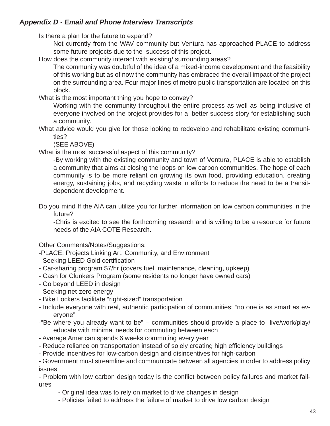Is there a plan for the future to expand?

 Not currently from the WAV community but Ventura has approached PLACE to address some future projects due to the success of this project.

How does the community interact with existing/ surrounding areas?

 The community was doubtful of the idea of a mixed-income development and the feasibility of this working but as of now the community has embraced the overall impact of the project on the surrounding area. Four major lines of metro public transportation are located on this block.

What is the most important thing you hope to convey?

 Working with the community throughout the entire process as well as being inclusive of everyone involved on the project provides for a better success story for establishing such a community.

What advice would you give for those looking to redevelop and rehabilitate existing communities?

(SEE ABOVE)

What is the most successful aspect of this community?

 -By working with the existing community and town of Ventura, PLACE is able to establish a community that aims at closing the loops on low carbon communities. The hope of each community is to be more reliant on growing its own food, providing education, creating energy, sustaining jobs, and recycling waste in efforts to reduce the need to be a transitdependent development.

Do you mind If the AIA can utilize you for further information on low carbon communities in the future?

 -Chris is excited to see the forthcoming research and is willing to be a resource for future needs of the AIA COTE Research.

Other Comments/Notes/Suggestions:

- -PLACE: Projects Linking Art, Community, and Environment
- Seeking LEED Gold certification
- Car-sharing program \$7/hr (covers fuel, maintenance, cleaning, upkeep)
- Cash for Clunkers Program (some residents no longer have owned cars)
- Go beyond LEED in design
- Seeking net-zero energy
- Bike Lockers facilitate "right-sized" transportation
- Include everyone with real, authentic participation of communities: "no one is as smart as everyone"
- -"Be where you already want to be" communities should provide a place to live/work/play/ educate with minimal needs for commuting between each
- Average American spends 6 weeks commuting every year
- Reduce reliance on transportation instead of solely creating high efficiency buildings
- Provide incentives for low-carbon design and disincentives for high-carbon

- Government must streamline and communicate between all agencies in order to address policy issues

- Problem with low carbon design today is the conflict between policy failures and market failures

- Original idea was to rely on market to drive changes in design
- Policies failed to address the failure of market to drive low carbon design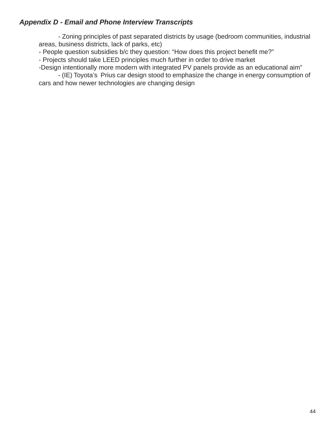- Zoning principles of past separated districts by usage (bedroom communities, industrial areas, business districts, lack of parks, etc)

- People question subsidies b/c they question: "How does this project benefit me?"

- Projects should take LEED principles much further in order to drive market

-Design intentionally more modern with integrated PV panels provide as an educational aim"

 - (IE) Toyota's Prius car design stood to emphasize the change in energy consumption of cars and how newer technologies are changing design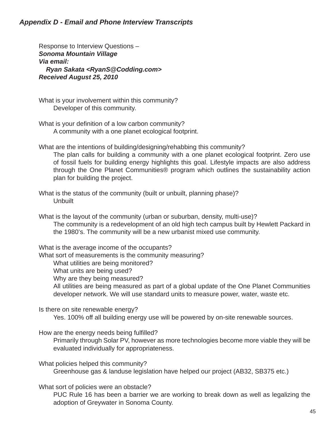Response to Interview Questions – *Sonoma Mountain Village Via email: Ryan Sakata <RyanS@Codding.com> Received August 25, 2010*

What is your involvement within this community? Developer of this community.

What is your definition of a low carbon community? A community with a one planet ecological footprint.

What are the intentions of building/designing/rehabbing this community?

 The plan calls for building a community with a one planet ecological footprint. Zero use of fossil fuels for building energy highlights this goal. Lifestyle impacts are also address through the One Planet Communities® program which outlines the sustainability action plan for building the project.

What is the status of the community (built or unbuilt, planning phase)? **Unbuilt** 

What is the layout of the community (urban or suburban, density, multi-use)? The community is a redevelopment of an old high tech campus built by Hewlett Packard in the 1980's. The community will be a new urbanist mixed use community.

What is the average income of the occupants?

What sort of measurements is the community measuring?

What utilities are being monitored?

What units are being used?

Why are they being measured?

 All utilities are being measured as part of a global update of the One Planet Communities developer network. We will use standard units to measure power, water, waste etc.

Is there on site renewable energy?

Yes. 100% off all building energy use will be powered by on-site renewable sources.

How are the energy needs being fulfilled?

 Primarily through Solar PV, however as more technologies become more viable they will be evaluated individually for appropriateness.

What policies helped this community? Greenhouse gas & landuse legislation have helped our project (AB32, SB375 etc.)

What sort of policies were an obstacle?

 PUC Rule 16 has been a barrier we are working to break down as well as legalizing the adoption of Greywater in Sonoma County.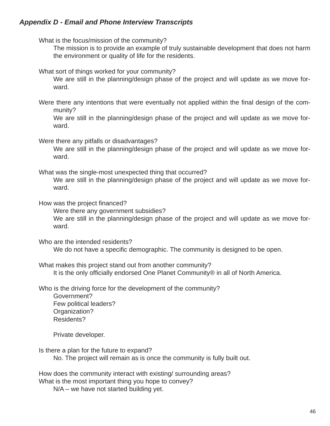What is the focus/mission of the community?

 The mission is to provide an example of truly sustainable development that does not harm the environment or quality of life for the residents.

What sort of things worked for your community?

 We are still in the planning/design phase of the project and will update as we move forward.

Were there any intentions that were eventually not applied within the final design of the community?

 We are still in the planning/design phase of the project and will update as we move forward.

Were there any pitfalls or disadvantages?

 We are still in the planning/design phase of the project and will update as we move forward.

What was the single-most unexpected thing that occurred?

 We are still in the planning/design phase of the project and will update as we move forward.

How was the project financed?

Were there any government subsidies?

 We are still in the planning/design phase of the project and will update as we move forward.

Who are the intended residents?

We do not have a specific demographic. The community is designed to be open.

What makes this project stand out from another community? It is the only officially endorsed One Planet Community® in all of North America.

Who is the driving force for the development of the community?

 Government? Few political leaders? Organization? Residents?

Private developer.

Is there a plan for the future to expand? No. The project will remain as is once the community is fully built out.

How does the community interact with existing/ surrounding areas?

What is the most important thing you hope to convey?

N/A – we have not started building yet.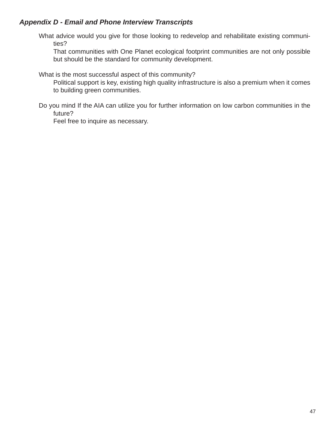What advice would you give for those looking to redevelop and rehabilitate existing communities?

 That communities with One Planet ecological footprint communities are not only possible but should be the standard for community development.

What is the most successful aspect of this community?

 Political support is key, existing high quality infrastructure is also a premium when it comes to building green communities.

Do you mind If the AIA can utilize you for further information on low carbon communities in the future?

Feel free to inquire as necessary.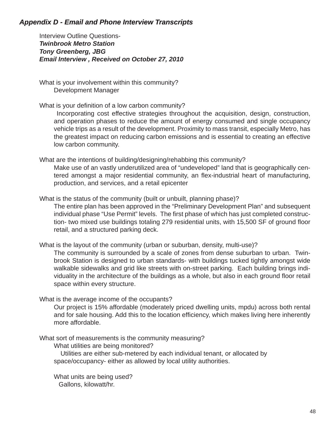Interview Outline Questions-*Twinbrook Metro Station Tony Greenberg, JBG Email Interview , Received on October 27, 2010*

What is your involvement within this community? Development Manager

What is your definition of a low carbon community?

 Incorporating cost effective strategies throughout the acquisition, design, construction, and operation phases to reduce the amount of energy consumed and single occupancy vehicle trips as a result of the development. Proximity to mass transit, especially Metro, has the greatest impact on reducing carbon emissions and is essential to creating an effective low carbon community.

What are the intentions of building/designing/rehabbing this community?

 Make use of an vastly underutilized area of "undeveloped" land that is geographically centered amongst a major residential community, an flex-industrial heart of manufacturing, production, and services, and a retail epicenter

What is the status of the community (built or unbuilt, planning phase)?

 The entire plan has been approved in the "Preliminary Development Plan" and subsequent individual phase "Use Permit" levels. The first phase of which has just completed construction- two mixed use buildings totaling 279 residential units, with 15,500 SF of ground floor retail, and a structured parking deck.

What is the layout of the community (urban or suburban, density, multi-use)?

 The community is surrounded by a scale of zones from dense suburban to urban. Twinbrook Station is designed to urban standards- with buildings tucked tightly amongst wide walkable sidewalks and grid like streets with on-street parking. Each building brings individuality in the architecture of the buildings as a whole, but also in each ground floor retail space within every structure.

What is the average income of the occupants?

Our project is 15% affordable (moderately priced dwelling units, mpdu) across both rental and for sale housing. Add this to the location efficiency, which makes living here inherently more affordable.

What sort of measurements is the community measuring?

What utilities are being monitored?

 Utilities are either sub-metered by each individual tenant, or allocated by space/occupancy- either as allowed by local utility authorities.

 What units are being used? Gallons, kilowatt/hr.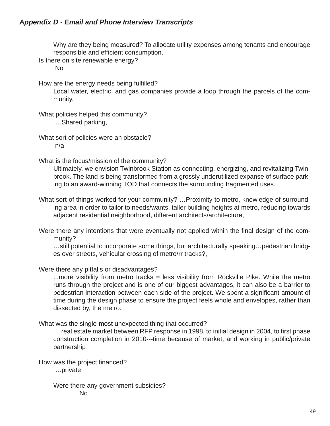Why are they being measured? To allocate utility expenses among tenants and encourage responsible and efficient consumption.

Is there on site renewable energy?

No

How are the energy needs being fulfilled?

 Local water, electric, and gas companies provide a loop through the parcels of the community.

What policies helped this community? …Shared parking,

What sort of policies were an obstacle? n/a

What is the focus/mission of the community?

 Ultimately, we envision Twinbrook Station as connecting, energizing, and revitalizing Twinbrook. The land is being transformed from a grossly underutilized expanse of surface parking to an award-winning TOD that connects the surrounding fragmented uses.

What sort of things worked for your community? ... Proximity to metro, knowledge of surrounding area in order to tailor to needs/wants, taller building heights at metro, reducing towards adjacent residential neighborhood, different architects/architecture,

Were there any intentions that were eventually not applied within the final design of the community?

 …still potential to incorporate some things, but architecturally speaking…pedestrian bridges over streets, vehicular crossing of metro/rr tracks?,

## Were there any pitfalls or disadvantages?

...more visibility from metro tracks = less visibility from Rockville Pike. While the metro runs through the project and is one of our biggest advantages, it can also be a barrier to pedestrian interaction between each side of the project. We spent a significant amount of time during the design phase to ensure the project feels whole and envelopes, rather than dissected by, the metro.

What was the single-most unexpected thing that occurred?

... real estate market between RFP response in 1998, to initial design in 2004, to first phase construction completion in 2010---time because of market, and working in public/private partnership

How was the project financed?

…private

Were there any government subsidies?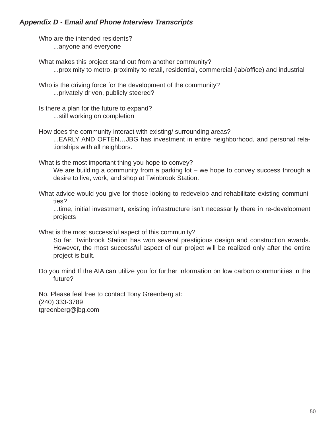Who are the intended residents? ...anyone and everyone

What makes this project stand out from another community? ...proximity to metro, proximity to retail, residential, commercial (lab/office) and industrial

Who is the driving force for the development of the community? ...privately driven, publicly steered?

Is there a plan for the future to expand? ...still working on completion

How does the community interact with existing/ surrounding areas?

 ...EARLY AND OFTEN…JBG has investment in entire neighborhood, and personal relationships with all neighbors.

What is the most important thing you hope to convey?

We are building a community from a parking lot – we hope to convey success through a desire to live, work, and shop at Twinbrook Station.

What advice would you give for those looking to redevelop and rehabilitate existing communities?

 ...time, initial investment, existing infrastructure isn't necessarily there in re-development projects

What is the most successful aspect of this community?

 So far, Twinbrook Station has won several prestigious design and construction awards. However, the most successful aspect of our project will be realized only after the entire project is built.

Do you mind If the AIA can utilize you for further information on low carbon communities in the future?

No. Please feel free to contact Tony Greenberg at: (240) 333-3789 tgreenberg@jbg.com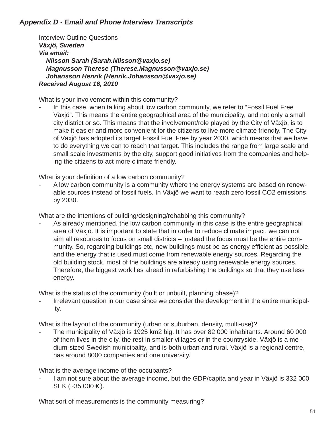Interview Outline Questions-*Växjö, Sweden Via email: Nilsson Sarah (Sarah.Nilsson@vaxjo.se) Magnusson Therese (Therese.Magnusson@vaxjo.se) Johansson Henrik (Henrik.Johansson@vaxjo.se) Received August 16, 2010*

What is your involvement within this community?

In this case, when talking about low carbon community, we refer to "Fossil Fuel Free Växjö". This means the entire geographical area of the municipality, and not only a small city district or so. This means that the involvement/role played by the City of Växjö, is to make it easier and more convenient for the citizens to live more climate friendly. The City of Växjö has adopted its target Fossil Fuel Free by year 2030, which means that we have to do everything we can to reach that target. This includes the range from large scale and small scale investments by the city, support good initiatives from the companies and helping the citizens to act more climate friendly.

What is your definition of a low carbon community?

- A low carbon community is a community where the energy systems are based on renewable sources instead of fossil fuels. In Växjö we want to reach zero fossil CO2 emissions by 2030.

What are the intentions of building/designing/rehabbing this community?

As already mentioned, the low carbon community in this case is the entire geographical area of Växjö. It is important to state that in order to reduce climate impact, we can not aim all resources to focus on small districts – instead the focus must be the entire community. So, regarding buildings etc, new buildings must be as energy efficient as possible, and the energy that is used must come from renewable energy sources. Regarding the old building stock, most of the buildings are already using renewable energy sources. Therefore, the biggest work lies ahead in refurbishing the buildings so that they use less energy.

What is the status of the community (built or unbuilt, planning phase)?

Irrelevant question in our case since we consider the development in the entire municipality.

What is the layout of the community (urban or suburban, density, multi-use)?

The municipality of Växjö is 1925 km2 big. It has over 82 000 inhabitants. Around 60 000 of them lives in the city, the rest in smaller villages or in the countryside. Växjö is a medium-sized Swedish municipality, and is both urban and rural. Växjö is a regional centre, has around 8000 companies and one university.

What is the average income of the occupants?

I am not sure about the average income, but the GDP/capita and year in Växjö is 332 000 SEK (~35 000 €).

What sort of measurements is the community measuring?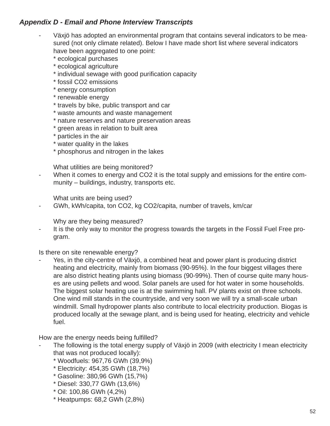- Växjö has adopted an environmental program that contains several indicators to be measured (not only climate related). Below I have made short list where several indicators have been aggregated to one point:
	- \* ecological purchases
	- \* ecological agriculture
	- \* individual sewage with good purification capacity
	- \* fossil CO2 emissions
	- \* energy consumption
	- \* renewable energy
	- \* travels by bike, public transport and car
	- \* waste amounts and waste management
	- \* nature reserves and nature preservation areas
	- \* green areas in relation to built area
	- \* particles in the air
	- \* water quality in the lakes
	- \* phosphorus and nitrogen in the lakes

What utilities are being monitored?

When it comes to energy and CO2 it is the total supply and emissions for the entire community – buildings, industry, transports etc.

What units are being used?

- GWh, kWh/capita, ton CO2, kg CO2/capita, number of travels, km/car

Why are they being measured?

It is the only way to monitor the progress towards the targets in the Fossil Fuel Free program.

Is there on site renewable energy?

Yes, in the city-centre of Växjö, a combined heat and power plant is producing district heating and electricity, mainly from biomass (90-95%). In the four biggest villages there are also district heating plants using biomass (90-99%). Then of course quite many houses are using pellets and wood. Solar panels are used for hot water in some households. The biggest solar heating use is at the swimming hall. PV plants exist on three schools. One wind mill stands in the countryside, and very soon we will try a small-scale urban windmill. Small hydropower plants also contribute to local electricity production. Biogas is produced locally at the sewage plant, and is being used for heating, electricity and vehicle fuel.

How are the energy needs being fulfilled?

- The following is the total energy supply of Växjö in 2009 (with electricity I mean electricity that was not produced locally):
	- \* Woodfuels: 967,76 GWh (39,9%)
	- \* Electricity: 454,35 GWh (18,7%)
	- \* Gasoline: 380,96 GWh (15,7%)
	- \* Diesel: 330,77 GWh (13,6%)
	- \* Oil: 100,86 GWh (4,2%)
	- \* Heatpumps: 68,2 GWh (2,8%)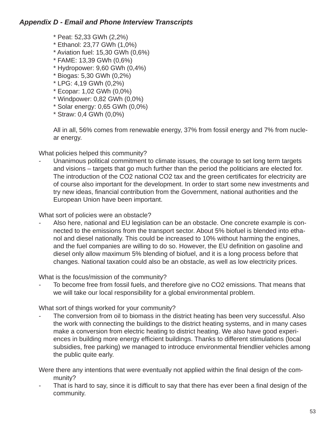- \* Peat: 52,33 GWh (2,2%)
- \* Ethanol: 23,77 GWh (1,0%)
- \* Aviation fuel: 15,30 GWh (0,6%)
- \* FAME: 13,39 GWh (0,6%)
- \* Hydropower: 9,60 GWh (0,4%)
- \* Biogas: 5,30 GWh (0,2%)
- \* LPG: 4,19 GWh (0,2%)
- \* Ecopar: 1,02 GWh (0,0%)
- \* Windpower: 0,82 GWh (0,0%)
- \* Solar energy: 0,65 GWh (0,0%)
- \* Straw: 0,4 GWh (0,0%)

All in all, 56% comes from renewable energy, 37% from fossil energy and 7% from nuclear energy.

What policies helped this community?

Unanimous political commitment to climate issues, the courage to set long term targets and visions – targets that go much further than the period the politicians are elected for. The introduction of the CO2 national CO2 tax and the green certificates for electricity are of course also important for the development. In order to start some new investments and try new ideas, financial contribution from the Government, national authorities and the European Union have been important.

What sort of policies were an obstacle?

Also here, national and EU legislation can be an obstacle. One concrete example is connected to the emissions from the transport sector. About 5% biofuel is blended into ethanol and diesel nationally. This could be increased to 10% without harming the engines, and the fuel companies are willing to do so. However, the EU definition on gasoline and diesel only allow maximum 5% blending of biofuel, and it is a long process before that changes. National taxation could also be an obstacle, as well as low electricity prices.

What is the focus/mission of the community?

To become free from fossil fuels, and therefore give no CO2 emissions. That means that we will take our local responsibility for a global environmental problem.

What sort of things worked for your community?

The conversion from oil to biomass in the district heating has been very successful. Also the work with connecting the buildings to the district heating systems, and in many cases make a conversion from electric heating to district heating. We also have good experiences in building more energy efficient buildings. Thanks to different stimulations (local subsidies, free parking) we managed to introduce environmental friendlier vehicles among the public quite early.

Were there any intentions that were eventually not applied within the final design of the community?

That is hard to say, since it is difficult to say that there has ever been a final design of the community.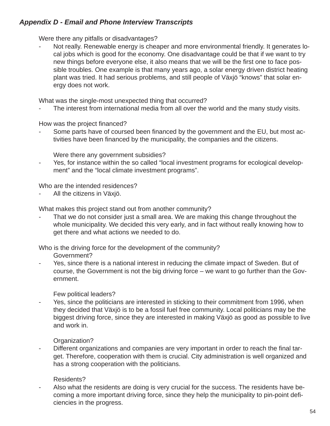Were there any pitfalls or disadvantages?

Not really. Renewable energy is cheaper and more environmental friendly. It generates local jobs which is good for the economy. One disadvantage could be that if we want to try new things before everyone else, it also means that we will be the first one to face possible troubles. One example is that many years ago, a solar energy driven district heating plant was tried. It had serious problems, and still people of Växjö "knows" that solar energy does not work.

What was the single-most unexpected thing that occurred?

The interest from international media from all over the world and the many study visits.

How was the project financed?

Some parts have of coursed been financed by the government and the EU, but most activities have been financed by the municipality, the companies and the citizens.

Were there any government subsidies?

- Yes, for instance within the so called "local investment programs for ecological development" and the "local climate investment programs".

Who are the intended residences?

All the citizens in Växjö.

What makes this project stand out from another community?

That we do not consider just a small area. We are making this change throughout the whole municipality. We decided this very early, and in fact without really knowing how to get there and what actions we needed to do.

Who is the driving force for the development of the community?

Government?

Yes, since there is a national interest in reducing the climate impact of Sweden. But of course, the Government is not the big driving force – we want to go further than the Government.

Few political leaders?

Yes, since the politicians are interested in sticking to their commitment from 1996, when they decided that Växjö is to be a fossil fuel free community. Local politicians may be the biggest driving force, since they are interested in making Växjö as good as possible to live and work in.

Organization?

Different organizations and companies are very important in order to reach the final target. Therefore, cooperation with them is crucial. City administration is well organized and has a strong cooperation with the politicians.

## Residents?

Also what the residents are doing is very crucial for the success. The residents have becoming a more important driving force, since they help the municipality to pin-point deficiencies in the progress.